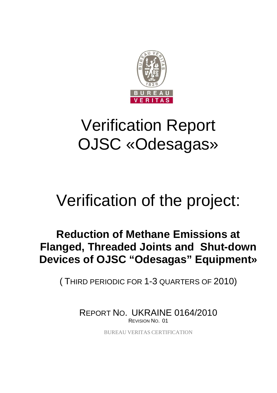

# Verification Report OJSC «Odesagas»

# Verification of the project:

# **Reduction of Methane Emissions at Flanged, Threaded Joints and Shut-down Devices of OJSC "Odesagas" Equipment»**

( THIRD PERIODIC FOR 1-3 QUARTERS OF 2010)

REPORT NO. UKRAINE 0164/2010 REVISION NO. 01

BUREAU VERITAS CERTIFICATION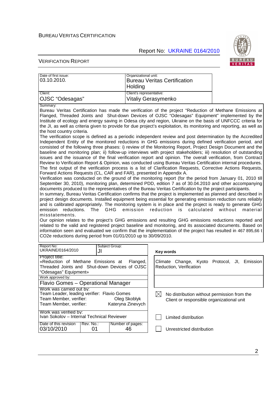Report No: UKRAINE 0164/2010



| Date of first issue:<br>03.10.2010.                                                                                                                                                                                                                                                                                                                                                                                                                                                                                                                                                                                                                                                                                                                                                                                                                                                                                                                                                                                                                                                                                                                                                                                                                                                                                                                                                                                                                                                                                                                                                                                                                                                                                                                                                                                                                                                                                                                                                                                                                                                                                                                                                                                                                                                                                                                                                                                                                                                                                                                                                                  | Organizational unit:     | <b>Bureau Veritas Certification</b>                                                                     |                              |
|------------------------------------------------------------------------------------------------------------------------------------------------------------------------------------------------------------------------------------------------------------------------------------------------------------------------------------------------------------------------------------------------------------------------------------------------------------------------------------------------------------------------------------------------------------------------------------------------------------------------------------------------------------------------------------------------------------------------------------------------------------------------------------------------------------------------------------------------------------------------------------------------------------------------------------------------------------------------------------------------------------------------------------------------------------------------------------------------------------------------------------------------------------------------------------------------------------------------------------------------------------------------------------------------------------------------------------------------------------------------------------------------------------------------------------------------------------------------------------------------------------------------------------------------------------------------------------------------------------------------------------------------------------------------------------------------------------------------------------------------------------------------------------------------------------------------------------------------------------------------------------------------------------------------------------------------------------------------------------------------------------------------------------------------------------------------------------------------------------------------------------------------------------------------------------------------------------------------------------------------------------------------------------------------------------------------------------------------------------------------------------------------------------------------------------------------------------------------------------------------------------------------------------------------------------------------------------------------------|--------------------------|---------------------------------------------------------------------------------------------------------|------------------------------|
|                                                                                                                                                                                                                                                                                                                                                                                                                                                                                                                                                                                                                                                                                                                                                                                                                                                                                                                                                                                                                                                                                                                                                                                                                                                                                                                                                                                                                                                                                                                                                                                                                                                                                                                                                                                                                                                                                                                                                                                                                                                                                                                                                                                                                                                                                                                                                                                                                                                                                                                                                                                                      | Holding                  |                                                                                                         |                              |
| Client:                                                                                                                                                                                                                                                                                                                                                                                                                                                                                                                                                                                                                                                                                                                                                                                                                                                                                                                                                                                                                                                                                                                                                                                                                                                                                                                                                                                                                                                                                                                                                                                                                                                                                                                                                                                                                                                                                                                                                                                                                                                                                                                                                                                                                                                                                                                                                                                                                                                                                                                                                                                              | Client's representative: |                                                                                                         |                              |
| OJSC "Odesagas"                                                                                                                                                                                                                                                                                                                                                                                                                                                                                                                                                                                                                                                                                                                                                                                                                                                                                                                                                                                                                                                                                                                                                                                                                                                                                                                                                                                                                                                                                                                                                                                                                                                                                                                                                                                                                                                                                                                                                                                                                                                                                                                                                                                                                                                                                                                                                                                                                                                                                                                                                                                      |                          | Vitaliy Gerasymenko                                                                                     |                              |
| Summary:<br>Bureau Veritas Certification has made the verification of the project "Reduction of Methane Emissions at<br>Flanged, Threaded Joints and Shut-down Devices of OJSC "Odesagas" Equipment" implemented by the<br>Institute of ecology and energy saving in Odesa city and region, Ukraine on the basis of UNFCCC criteria for<br>the JI, as well as criteria given to provide for due project's exploitation, its monitoring and reporting, as well as<br>the host country criteria.<br>The verification scope is defined as a periodic independent review and post determination by the Accredited<br>Independent Entity of the monitored reductions in GHG emissions during defined verification period, and<br>consisted of the following three phases: i) review of the Monitoring Report, Project Design Document and the<br>baseline and monitoring plan; ii) follow-up interviews with project stakeholders; iii) resolution of outstanding<br>issues and the issuance of the final verification report and opinion. The overall verification, from Contract<br>Review to Verification Report & Opinion, was conducted using Bureau Veritas Certification internal procedures.<br>The first output of the verification process is a list of Clarification Requests, Corrective Actions Requests,<br>Forward Actions Requests (CL, CAR and FAR), presented in Appendix A.<br>Verification was conducted on the ground of the monitoring report (for the period from January 01, 2010 till<br>September 30, 2010), monitoring plan, determined PDD, edition 7 as of 30.04.2010 and other accompanying<br>documents produced to the representatives of the Bureau Veritas Certification by the project participants.<br>In summary, Bureau Veritas Certification confirms that the project is implemented as planned and described in<br>project design documents. Installed equipment being essential for generating emission reduction runs reliably<br>and is calibrated appropriately. The monitoring system is in place and the project is ready to generate GHG<br>emission reductions. The GHG<br>emission reduction is<br>calculated<br>without<br>misstatements.<br>Our opinion relates to the project's GHG emissions and resulting GHG emissions reductions reported and<br>related to the valid and registered project baseline and monitoring, and its associated documents. Based on<br>information seen and evaluated we confirm that the implementation of the project has resulted in 467 895,66 t<br>CO2e reductions during period from 01/01/2010 up to 30/09/2010. |                          |                                                                                                         | material                     |
| Subject Group:<br>Report No:<br>UKRAINE/0164/2010<br>JI                                                                                                                                                                                                                                                                                                                                                                                                                                                                                                                                                                                                                                                                                                                                                                                                                                                                                                                                                                                                                                                                                                                                                                                                                                                                                                                                                                                                                                                                                                                                                                                                                                                                                                                                                                                                                                                                                                                                                                                                                                                                                                                                                                                                                                                                                                                                                                                                                                                                                                                                              |                          | Key words                                                                                               |                              |
| Project title:<br>«Reduction of Methane Emissions at<br>Flanged,<br>Threaded Joints and Shut-down Devices of OJSC<br>"Odesagas" Equipment»<br>Work approved by:<br>Flavio Gomes - Operational Manager                                                                                                                                                                                                                                                                                                                                                                                                                                                                                                                                                                                                                                                                                                                                                                                                                                                                                                                                                                                                                                                                                                                                                                                                                                                                                                                                                                                                                                                                                                                                                                                                                                                                                                                                                                                                                                                                                                                                                                                                                                                                                                                                                                                                                                                                                                                                                                                                |                          | Climate Change, Kyoto<br>Reduction, Verification                                                        | Protocol,<br>JI,<br>Emission |
| Work was carried out by:<br>Team Leader, leading verifier: Flavio Gomes<br>Team Member, verifier:<br>Oleg Skoblyk<br>Team Member, verifier:<br>Kateryna Zinevych                                                                                                                                                                                                                                                                                                                                                                                                                                                                                                                                                                                                                                                                                                                                                                                                                                                                                                                                                                                                                                                                                                                                                                                                                                                                                                                                                                                                                                                                                                                                                                                                                                                                                                                                                                                                                                                                                                                                                                                                                                                                                                                                                                                                                                                                                                                                                                                                                                     |                          | $\boxtimes$<br>No distribution without permission from the<br>Client or responsible organizational unit |                              |
| Work was verified by:<br>Ivan Sokolov - Internal Technical Reviewer                                                                                                                                                                                                                                                                                                                                                                                                                                                                                                                                                                                                                                                                                                                                                                                                                                                                                                                                                                                                                                                                                                                                                                                                                                                                                                                                                                                                                                                                                                                                                                                                                                                                                                                                                                                                                                                                                                                                                                                                                                                                                                                                                                                                                                                                                                                                                                                                                                                                                                                                  |                          | Limited distribution                                                                                    |                              |
| Date of this revision<br>Rev. No.:<br>03/10/2010<br>01                                                                                                                                                                                                                                                                                                                                                                                                                                                                                                                                                                                                                                                                                                                                                                                                                                                                                                                                                                                                                                                                                                                                                                                                                                                                                                                                                                                                                                                                                                                                                                                                                                                                                                                                                                                                                                                                                                                                                                                                                                                                                                                                                                                                                                                                                                                                                                                                                                                                                                                                               | Number of pages:<br>46   | Unrestricted distribution                                                                               |                              |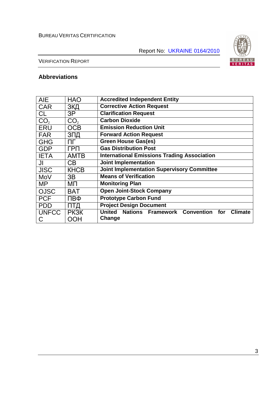Report No: UKRAINE 0164/2010



VERIFICATION REPORT

# **Abbreviations**

| <b>AIE</b>      | <b>HAO</b>      | <b>Accredited Independent Entity</b>                                   |  |  |
|-----------------|-----------------|------------------------------------------------------------------------|--|--|
| <b>CAR</b>      | ЗКД             | <b>Corrective Action Request</b>                                       |  |  |
| <b>CL</b>       | 3P              | <b>Clarification Request</b>                                           |  |  |
| CO <sub>2</sub> | CO <sub>2</sub> | <b>Carbon Dioxide</b>                                                  |  |  |
| <b>ERU</b>      | <b>OCB</b>      | <b>Emission Reduction Unit</b>                                         |  |  |
| <b>FAR</b>      | ЗПД             | <b>Forward Action Request</b>                                          |  |  |
| <b>GHG</b>      | ПΓ              | <b>Green House Gas(es)</b>                                             |  |  |
| <b>GDP</b>      | ГРП             | <b>Gas Distribution Post</b>                                           |  |  |
| <b>IETA</b>     | <b>AMTB</b>     | <b>International Emissions Trading Association</b>                     |  |  |
| JI              | CВ              | <b>Joint Implementation</b>                                            |  |  |
| <b>JISC</b>     | <b>KHCB</b>     | <b>Joint Implementation Supervisory Committee</b>                      |  |  |
| MoV             | 3B              | <b>Means of Verification</b>                                           |  |  |
| MP              | ΜП              | <b>Monitoring Plan</b>                                                 |  |  |
| <b>OJSC</b>     | <b>BAT</b>      | <b>Open Joint-Stock Company</b>                                        |  |  |
| <b>PCF</b>      | ПВФ             | <b>Prototype Carbon Fund</b>                                           |  |  |
| <b>PDD</b>      | ПТД             | <b>Project Design Document</b>                                         |  |  |
| <b>UNFCC</b>    | PK3K            | United<br><b>Nations Framework Convention</b><br>for<br><b>Climate</b> |  |  |
| C               | OOH             | Change                                                                 |  |  |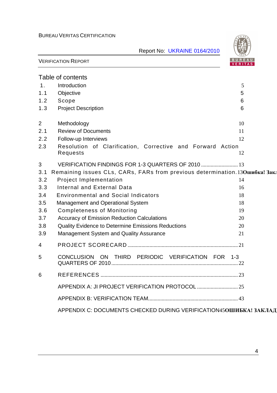



|                | <b>VERIFICATION REPORT</b>                                                  |    |
|----------------|-----------------------------------------------------------------------------|----|
|                | Table of contents                                                           |    |
| 1 <sub>1</sub> | Introduction                                                                | 5  |
| 1.1            | Objective                                                                   | 5  |
| 1.2            | Scope                                                                       | 6  |
| 1.3            | <b>Project Description</b>                                                  | 6  |
| $\overline{2}$ | Methodology                                                                 | 10 |
| 2.1            | <b>Review of Documents</b>                                                  | 11 |
| 2.2            | Follow-up Interviews                                                        | 12 |
| 2.3            | Resolution of Clarification, Corrective and Forward Action<br>Requests      | 12 |
| 3              | VERIFICATION FINDINGS FOR 1-3 QUARTERS OF 2010  13                          |    |
| 3.1            | Remaining issues CLs, CARs, FARs from previous determination.130mn6ka! Закл |    |
| 3.2            | <b>Project Implementation</b>                                               | 14 |
| 3.3            | Internal and External Data                                                  | 16 |
| 3.4            | <b>Environmental and Social Indicators</b>                                  | 18 |
| 3.5            | Management and Operational System                                           | 18 |
| 3.6            | <b>Completeness of Monitoring</b>                                           | 19 |
| 3.7            | <b>Accuracy of Emission Reduction Calculations</b>                          | 20 |
| 3.8            | Quality Evidence to Determine Emissions Reductions                          | 20 |
| 3.9            | Management System and Quality Assurance                                     | 21 |
| $\overline{4}$ |                                                                             |    |
| 5              | CONCLUSION ON THIRD PERIODIC VERIFICATION FOR 1-3                           |    |
| 6              |                                                                             |    |
|                |                                                                             |    |
|                |                                                                             |    |
|                | APPENDIX C: DOCUMENTS CHECKED DURING VERIFICATION450ШИБКА! ЗАКЛАД           |    |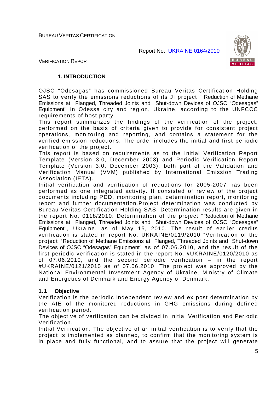

VERIFICATION REPORT

# **1. INTRODUCTION**

OJSC "Odesagas" has commissioned Bureau Veritas Certification Holding SAS to verify the emissions reductions of its JI project " Reduction of Methane Emissions at Flanged, Threaded Joints and Shut-down Devices of OJSC "Odesagas" Equipment" in Odessa city and region, Ukraine, according to the UNFCCC requirements of host party.

This report summarizes the findings of the verification of the project, performed on the basis of criteria given to provide for consistent project operations, monitoring and reporting, and contains a statement for the verified emission reductions. The order includes the initial and first periodic verification of the project.

This report is based on requirements as to the Initial Verification Report Template (Version 3.0, December 2003) and Periodic Verification Report Template (Version 3.0, December 2003), both part of the Validation and Verification Manual (VVM) published by International Emission Trading Association (IETA).

Initial verification and verification of reductions for 2005-2007 has been performed as one integrated activity. It consisted of review of the project documents including PDD, monitoring plan, determination report, monitoring report and further documentation.Project determination was conducted by Bureau Veritas Certification Holding SAS. Determination results are given in the report No. 0118/2010: Determination of the project "Reduction of Methane Emissions at Flanged, Threaded Joints and Shut-down Devices of OJSC "Odesagas" Equipment", Ukraine, as of May 15, 2010. The result of earlier credits verification is stated in report No. UKRAINE/0119/2010 "Verification of the project "Reduction of Methane Emissions at Flanged, Threaded Joints and Shut-down Devices of OJSC "Odesagas" Equipment" as of 07.06.2010, and the result of the first periodic verification is stated in the report No. #UKRAINE/0120/2010 as of 07.06.2010, and the second periodic verification – in the report #UKRAINE/0121/2010 as of 07.06.2010. The project was approved by the National Environmental Investment Agency of Ukraine, Ministry of Climate and Energetics of Denmark and Energy Agency of Denmark.

#### **1.1 Objective**

Verification is the periodic independent review and ex post determination by the AIE of the monitored reductions in GHG emissions during defined verification period.

The objective of verification can be divided in Initial Verification and Periodic Verification.

Initial Verification: The objective of an initial verification is to verify that the project is implemented as planned, to confirm that the monitoring system is in place and fully functional, and to assure that the project will generate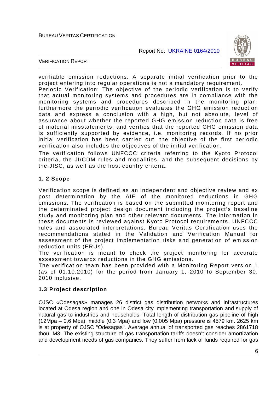

#### VERIFICATION REPORT

verifiable emission reductions. A separate initial verification prior to the project entering into regular operations is not a mandatory requirement.

Periodic Verification: The objective of the periodic verification is to verify that actual monitoring systems and procedures are in compliance with the monitoring systems and procedures described in the monitoring plan; furthermore the periodic verification evaluates the GHG emission reduction data and express a conclusion with a high, but not absolute, level of assurance about whether the reported GHG emission reduction data is free of material misstatements; and verifies that the reported GHG emission data is sufficiently supported by evidence, i.e. monitoring records. If no prior initial verification has been carried out, the objective of the first periodic verification also includes the objectives of the initial verification.

The verification follows UNFCCC criteria referring to the Kyoto Protocol criteria, the JI/CDM rules and modalities, and the subsequent decisions by the JISC, as well as the host country criteria.

# **1. 2 Scope**

Verification scope is defined as an independent and objective review and ex post determination by the AIE of the monitored reductions in GHG emissions. The verification is based on the submitted monitoring report and the determinated project design document including the project's baseline study and monitoring plan and other relevant documents. The information in these documents is reviewed against Kyoto Protocol requirements, UNFCCC rules and associated interpretations. Bureau Veritas Certification uses the recommendations stated in the Validation and Verification Manual for assessment of the project implementation risks and generation of emission reduction units (ERUs).

The verification is meant to check the project monitoring for accurate assessment towards reductions in the GHG emissions.

The verification team has been provided with a Monitoring Report version 1 (as of 01.10.2010) for the period from January 1, 2010 to September 30, 2010 inclusive.

#### **1.3 Project description**

OJSC «Odesagas» manages 26 district gas distribution networks and infrastructures located at Odesa region and one in Odesa city implementing transportation and supply of natural gas to industries and households. Total length of distribution gas pipeline of high (12Mpa – 0,6 Mpa), middle (0,3 Mpa) and low (0,005 Mpa) pressure is 4579 km. 2625 km is at property of OJSC "Odesagas". Average annual of transported gas reaches 2861718 thou. M3. The existing structure of gas transportation tariffs doesn't consider amortization and development needs of gas companies. They suffer from lack of funds required for gas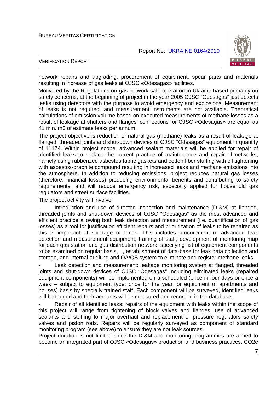Report No: UKRAINE 0164/2010

#### VERIFICATION REPORT



network repairs and upgrading, procurement of equipment, spear parts and materials resulting in increase of gas leaks at OJSC «Odesagas» facilities.

Motivated by the Regulations on gas network safe operation in Ukraine based primarily on safety concerns, at the beginning of project in the year 2005 OJSC "Odesagas" just detects leaks using detectors with the purpose to avoid emergency and explosions. Measurement of leaks is not required, and measurement instruments are not available. Theoretical calculations of emission volume based on executed measurements of methane losses as a result of leakage at shutters and flanges' connections for OJSC «Odesagas» are equal as 41 mln. m3 of estimate leaks per annum.

The project objective is reduction of natural gas (methane) leaks as a result of leakage at flanged, threaded joints and shut-down devices of OJSC "Odesagas" equipment in quantity of 11174. Within project scope, advanced sealant materials will be applied for repair of identified leaks to replace the current practice of maintenance and repair of networks, namely using rubberized asbestos fabric gaskets and cotton fiber stuffing with oil tightening with asbestos-graphite compound resulting in increased leaks and methane emissions into the atmosphere. In addition to reducing emissions, project reduces natural gas losses (therefore, financial losses) producing environmental benefits and contributing to safety requirements, and will reduce emergency risk, especially applied for household gas regulators and street surface facilities.

The project activity will involve:

Introduction and use of directed inspection and maintenance (DI&M) at flanged, threaded joints and shut-down devices of OJSC "Odesagas" as the most advanced and efficient practice allowing both leak detection and measurement (i.e. quantification of gas losses) as a tool for justification efficient repairs and prioritization of leaks to be repaired as this is important at shortage of funds. This includes procurement of advanced leak detection and measurement equipment, training of staff, development of monitoring map for each gas station and gas distribution network, specifying list of equipment components to be examined on regular basis, , establishment of data-base for leak data collection and storage, and internal auditing and QA/QS system to eliminate and register methane leaks.

Leak detection and measurement: leakage monitoring system at flanged, threaded joints and shut-down devices of OJSC "Odesagas" including eliminated leaks (repaired equipment components) will be implemented on a scheduled (once in four days or once a week – subject to equipment type; once for the year for equipment of apartments and houses) basis by specially trained staff. Each component will be surveyed, identified leaks will be tagged and their amounts will be measured and recorded in the database.

Repair of all identified leaks: repairs of the equipment with leaks within the scope of this project will range from tightening of block valves and flanges, use of advanced sealants and stuffing to major overhaul and replacement of pressure regulators safety valves and piston rods. Repairs will be regularly surveyed as component of standard monitoring program (see above) to ensure they are not leak sources.

Project duration is not limited since the DI&M and monitoring programmes are aimed to become an integrated part of OJSC «Odesagas» production and business practices. CO2e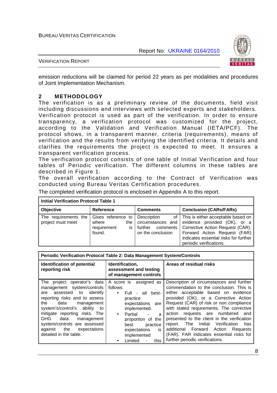

VERIFICATION REPORT

emission reductions will be claimed for period 22 years as per modalities and procedures of Joint Implementation Mechanism.

#### **2 METHODOLOGY**

The verification is as a preliminary review of the documents, field visit including discussions and interviews with selected experts and stakeholders. Verification protocol is used as part of the verification. In order to ensure transparency, a verification protocol was customized for the project, according to the Validation and Verification Manual (IETA/PCF). The protocol shows, in a transparent manner, criteria (requirements), means of verification and the results from verifying the identified criteria. It details and clarifies the requirements the project is expected to meet. It ensures a transparent verification process.

The verification protocol consists of one table of Initial Verification and four tables of Periodic verification. The different columns in these tables are described in Figure 1.

The overall verification according to the Contract of Verification was conducted using Bureau Veritas Certification procedures.

The completed verification protocol is enclosed in Appendix A to this report.

| <b>Initial Verification Protocol Table 1</b> |                                                                    |                                                                              |                                                                                                                                                                                                                 |  |
|----------------------------------------------|--------------------------------------------------------------------|------------------------------------------------------------------------------|-----------------------------------------------------------------------------------------------------------------------------------------------------------------------------------------------------------------|--|
| <b>Objective</b>                             | <b>Reference</b>                                                   | <b>Comments</b>                                                              | <b>Conclusion (CARs/FARs)</b>                                                                                                                                                                                   |  |
| The requirements the<br>project must meet    | Gives reference to<br>where<br>the<br>requirement<br>İS.<br>found. | Description<br>circumstances and<br>comments<br>further<br>on the conclusion | of   This is either acceptable based on<br>evidence provided (OK), or a<br>Corrective Action Request (CAR).<br>Forward Action Request (FAR)<br>indicates essential risks for further<br>periodic verifications. |  |

| Periodic Verification Protocol Table 2: Data Management System/Controls                                                                                                                                                                                                                                                                                        |                                                                                                                                                                                                                                                                            |                                                                                                                                                                                                                                                                                                                                                                                                                                                                                                                                         |  |
|----------------------------------------------------------------------------------------------------------------------------------------------------------------------------------------------------------------------------------------------------------------------------------------------------------------------------------------------------------------|----------------------------------------------------------------------------------------------------------------------------------------------------------------------------------------------------------------------------------------------------------------------------|-----------------------------------------------------------------------------------------------------------------------------------------------------------------------------------------------------------------------------------------------------------------------------------------------------------------------------------------------------------------------------------------------------------------------------------------------------------------------------------------------------------------------------------------|--|
| Identification of potential<br>reporting risk                                                                                                                                                                                                                                                                                                                  | Identification,<br>assessment and testing<br>of management controls                                                                                                                                                                                                        | Areas of residual risks                                                                                                                                                                                                                                                                                                                                                                                                                                                                                                                 |  |
| The project operator's data<br>management system/controls<br>identify<br>assessed to<br>are<br>reporting risks and to assess<br>the<br>data<br>management<br>system's/control's ability<br>to<br>mitigate reporting risks. The<br><b>GHG</b><br>data<br>management<br>system/controls are assessed<br>against<br>the<br>expectations<br>detailed in the table. | A score is assigned as<br>follows:<br>Full - all<br>best-<br>$\bullet$<br>practice<br>expectations<br>are<br>implemented.<br>Partial<br>$\bullet$<br>a<br>$\blacksquare$<br>proportion of the<br>practice<br>best<br>expectations<br>is.<br>implemented<br>Limited<br>this | Description of circumstances and further<br>commendation to the conclusion. This is<br>either acceptable based on evidence<br>provided (OK), or a Corrective Action<br>Request (CAR) of risk or non compliance<br>with stated requirements. The corrective<br>numbered<br>requests are<br>action<br>and<br>presented to the client in the verification<br>Verification<br>Initial<br>The T<br>report.<br>has<br>additional Forward<br>Action<br>Requests<br>(FAR). FAR indicates essential risks for<br>further periodic verifications. |  |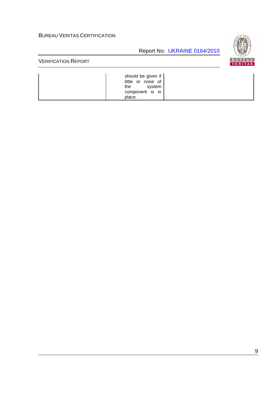Report No: UKRAINE 0164/2010



| <b>VERIFICATION REPORT</b> |  |  |
|----------------------------|--|--|
|                            |  |  |

| should be given if<br>little or none of<br>the<br>system<br>component is in |  |
|-----------------------------------------------------------------------------|--|
| place.                                                                      |  |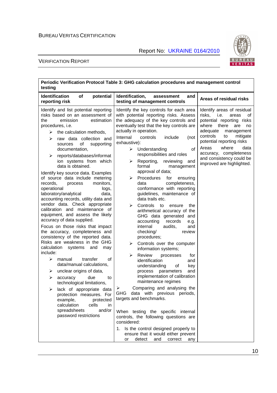

| Periodic Verification Protocol Table 3: GHG calculation procedures and management control<br>testing                                                                                                                                                                                                                                                                                                                                                                                                                                                                                                                                                                                                                                                                                                                                                                                                                                                                                                                                                                                                                                                                                                                 |                                                                                                                                                                                                                                                                                                                                                                                                                                                                                                                                                                                                                                                                                                                                                                                                                                                                                                                                                                                                                                                                                                                                                                                                                                                                                                                                    |                                                                                                                                                                                                                                                                                                                           |  |  |
|----------------------------------------------------------------------------------------------------------------------------------------------------------------------------------------------------------------------------------------------------------------------------------------------------------------------------------------------------------------------------------------------------------------------------------------------------------------------------------------------------------------------------------------------------------------------------------------------------------------------------------------------------------------------------------------------------------------------------------------------------------------------------------------------------------------------------------------------------------------------------------------------------------------------------------------------------------------------------------------------------------------------------------------------------------------------------------------------------------------------------------------------------------------------------------------------------------------------|------------------------------------------------------------------------------------------------------------------------------------------------------------------------------------------------------------------------------------------------------------------------------------------------------------------------------------------------------------------------------------------------------------------------------------------------------------------------------------------------------------------------------------------------------------------------------------------------------------------------------------------------------------------------------------------------------------------------------------------------------------------------------------------------------------------------------------------------------------------------------------------------------------------------------------------------------------------------------------------------------------------------------------------------------------------------------------------------------------------------------------------------------------------------------------------------------------------------------------------------------------------------------------------------------------------------------------|---------------------------------------------------------------------------------------------------------------------------------------------------------------------------------------------------------------------------------------------------------------------------------------------------------------------------|--|--|
| <b>Identification</b><br>potential<br><b>of</b><br>reporting risk                                                                                                                                                                                                                                                                                                                                                                                                                                                                                                                                                                                                                                                                                                                                                                                                                                                                                                                                                                                                                                                                                                                                                    | Identification,<br>and<br>assessment<br>testing of management controls                                                                                                                                                                                                                                                                                                                                                                                                                                                                                                                                                                                                                                                                                                                                                                                                                                                                                                                                                                                                                                                                                                                                                                                                                                                             | Areas of residual risks                                                                                                                                                                                                                                                                                                   |  |  |
| Identify and list potential reporting<br>risks based on an assessment of<br>the<br>emission<br>estimation<br>procedures, i.e.<br>the calculation methods,<br>➤<br>raw data collection and<br>⋗<br>of<br>sources<br>supporting<br>documentation,<br>reports/databases/informat<br>➤<br>ion systems from which<br>data is obtained.<br>Identify key source data. Examples<br>of source data include metering<br>monitors,<br>records.<br>process<br>operational<br>logs,<br>laboratory/analytical<br>data,<br>accounting records, utility data and<br>vendor data. Check appropriate<br>calibration and maintenance of<br>equipment, and assess the likely<br>accuracy of data supplied.<br>Focus on those risks that impact<br>the accuracy, completeness and<br>consistency of the reported data.<br>Risks are weakness in the GHG<br>calculation<br>systems<br>and<br>may<br>include:<br>transfer<br>➤<br>manual<br>οf<br>data/manual calculations,<br>unclear origins of data,<br>➤<br>due<br>⋗<br>accuracy<br>to<br>technological limitations,<br>lack of appropriate data<br>protection measures. For<br>example,<br>protected<br>calculation<br>cells<br>in.<br>spreadsheets<br>and/or<br>password restrictions | Identify the key controls for each area<br>with potential reporting risks. Assess<br>the adequacy of the key controls and<br>eventually test that the key controls are<br>actually in operation.<br>Internal<br>controls<br>include<br>(not<br>exhaustive):<br>of<br>≻<br>Understanding<br>responsibilities and roles<br>Reporting, reviewing<br>➤<br>and<br>formal<br>management<br>approval of data;<br>Procedures<br>⋗<br>for<br>ensuring<br>completeness,<br>data<br>conformance with reporting<br>guidelines, maintenance of<br>data trails etc.<br>⋗<br>Controls to<br>the<br>ensure<br>arithmetical accuracy of the<br>GHG data generated and<br>accounting<br>records<br>e.g.<br>internal<br>audits,<br>and<br>checking/<br>review<br>procedures;<br>➤<br>Controls over the computer<br>information systems;<br>➤<br><b>Review</b><br>processes<br>for<br>identification<br>and<br>understanding<br>of<br>key<br>and<br>process<br>parameters<br>implementation of calibration<br>maintenance regimes<br>Comparing and analysing the<br>GHG data with previous periods,<br>targets and benchmarks.<br>When testing the specific internal<br>controls, the following questions are<br>considered:<br>1. Is the control designed properly to<br>ensure that it would either prevent<br>detect<br>correct<br>or<br>and<br>any | Identify areas of residual<br>risks,<br>i.e.<br>areas<br>οf<br>potential reporting risks<br>where<br>there<br>are<br>no<br>adequate<br>management<br>controls<br>mitigate<br>to<br>potential reporting risks<br>Areas<br>where<br>data<br>accuracy, completeness<br>and consistency could be<br>improved are highlighted. |  |  |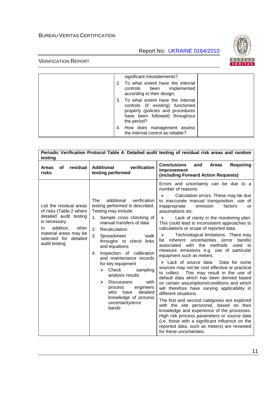Report No: UKRAINE 0164/2010



| significant misstatements?<br>2. To what extent have the internal<br>controls been implemented<br>according to their design;                                   |
|----------------------------------------------------------------------------------------------------------------------------------------------------------------|
| 3. To what extent have the internal<br>controls (if existing) functioned<br>properly (policies and procedures<br>have been followed) throughout<br>the period? |
| 4. How does management assess<br>the internal control as reliable?                                                                                             |

| Periodic Verification Protocol Table 4: Detailed audit testing of residual risk areas and random<br>testing                                                                                    |                                                                                                                                                                                                                                                                                                                                                                                                                                                                                                                                                  |                                                                                                                                                                                                                                                                                                                                                                                                                                                                                                                                                                                                                                                                                                                                                                                                                                                                                                                                                                                                                                                                                                                                                                                                                                               |  |
|------------------------------------------------------------------------------------------------------------------------------------------------------------------------------------------------|--------------------------------------------------------------------------------------------------------------------------------------------------------------------------------------------------------------------------------------------------------------------------------------------------------------------------------------------------------------------------------------------------------------------------------------------------------------------------------------------------------------------------------------------------|-----------------------------------------------------------------------------------------------------------------------------------------------------------------------------------------------------------------------------------------------------------------------------------------------------------------------------------------------------------------------------------------------------------------------------------------------------------------------------------------------------------------------------------------------------------------------------------------------------------------------------------------------------------------------------------------------------------------------------------------------------------------------------------------------------------------------------------------------------------------------------------------------------------------------------------------------------------------------------------------------------------------------------------------------------------------------------------------------------------------------------------------------------------------------------------------------------------------------------------------------|--|
| residual<br>οf<br><b>Areas</b><br>risks                                                                                                                                                        | verification<br><b>Additional</b><br>testing performed                                                                                                                                                                                                                                                                                                                                                                                                                                                                                           | <b>Conclusions</b><br><b>Requiring</b><br><b>Areas</b><br>and<br>Improvement<br>(including Forward Action Requests)                                                                                                                                                                                                                                                                                                                                                                                                                                                                                                                                                                                                                                                                                                                                                                                                                                                                                                                                                                                                                                                                                                                           |  |
| List the residual areas<br>of risks (Table 2 where<br>detailed audit testing<br>is necessary.<br>addition,<br>other<br>In.<br>material areas may be<br>selected for detailed<br>audit testing. | additional<br><b>The</b><br>verification<br>testing performed is described.<br>Testing may include:<br>Sample cross checking of<br>1.<br>manual transfers of data<br>Recalculation<br>2.<br>3.<br>Spreadsheet<br>'walk<br>throughs' to check links<br>and equations<br>Inspection of calibration<br>4.<br>and maintenance records<br>for key equipment<br>Check<br>⋗<br>sampling<br>analysis results<br><b>Discussions</b><br>➤<br>with<br>engineers<br>process<br>detailed<br>who<br>have<br>knowledge of process<br>uncertainty/error<br>bands | Errors and uncertainty can be due to a<br>number of reasons:<br>Calculation errors. These may be due<br>➤<br>to inaccurate manual transposition, use of<br>emission<br>inappropriate<br>factors<br>or<br>assumptions etc.<br>Lack of clarity in the monitoring plan.<br>➤<br>This could lead to inconsistent approaches to<br>calculations or scope of reported data.<br>Technological limitations. There may<br>➤<br>inherent uncertainties (error<br>bands)<br>be<br>associated with the methods<br>used to<br>measure emissions e.g. use of particular<br>equipment such as meters.<br>$\triangleright$ Lack of source data.<br>Data for some<br>sources may not be cost effective or practical<br>This may result in the use of<br>to collect.<br>default data which has been derived based<br>on certain assumptions/conditions and which<br>will therefore have varying applicability in<br>different situations.<br>The first and second categories are explored<br>with the site personnel, based on their<br>knowledge and experience of the processes.<br>High risk process parameters or source data<br>(i.e. those with a significant influence on the<br>reported data, such as meters) are reviewed<br>for these uncertainties. |  |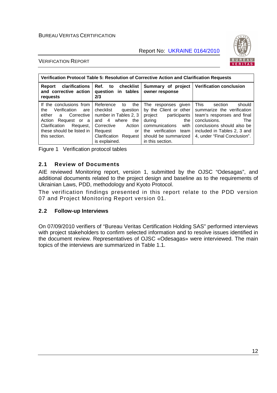

#### VERIFICATION REPORT

| Verification Protocol Table 5: Resolution of Corrective Action and Clarification Requests                                                                                            |                                                                                                                                                                                           |                                                                                                                                                                                                |                                                                                                                                                                                                                  |
|--------------------------------------------------------------------------------------------------------------------------------------------------------------------------------------|-------------------------------------------------------------------------------------------------------------------------------------------------------------------------------------------|------------------------------------------------------------------------------------------------------------------------------------------------------------------------------------------------|------------------------------------------------------------------------------------------------------------------------------------------------------------------------------------------------------------------|
| clarifications<br>Report<br>and corrective action<br>requests                                                                                                                        | Ref. to checklist<br>question in tables<br>2/3                                                                                                                                            | Summary of project<br>owner response                                                                                                                                                           | <b>Verification conclusion</b>                                                                                                                                                                                   |
| If the conclusions from<br>Verification<br>the<br>are<br>either a<br>Corrective<br>Action<br>Request or a<br>Clarification<br>Request,<br>these should be listed in<br>this section. | Reference<br>the<br>to<br>checklist<br>question<br>number in Tables 2, 3<br>where<br>and $4$<br>the<br>Corrective<br>Action<br>Request<br>or<br>Clarification<br>Request<br>is explained. | The responses given<br>by the Client or other<br>project<br>participants<br>during<br>the<br>with<br>communications<br>verification<br>team<br>the<br>should be summarized<br>in this section. | <b>This</b><br>should<br>section<br>summarize the verification<br>team's responses and final<br>conclusions.<br>The<br>conclusions should also be<br>included in Tables 2, 3 and<br>4, under "Final Conclusion". |

Figure 1 Verification protocol tables

#### **2.1 Review of Documents**

AIE reviewed Monitoring report, version 1, submitted by the OJSC "Odesagas", and additional documents related to the project design and baseline as to the requirements of Ukrainian Laws, PDD, methodology and Kyoto Protocol.

The verification findings presented in this report relate to the PDD version 07 and Project Monitoring Report version 01.

#### **2.2 Follow-up Interviews**

On 07/09/2010 verifiers of "Bureau Veritas Certification Holding SAS" performed interviews with project stakeholders to confirm selected information and to resolve issues identified in the document review. Representatives of OJSC «Odesagas» were interviewed. The main topics of the interviews are summarized in Table 1.1.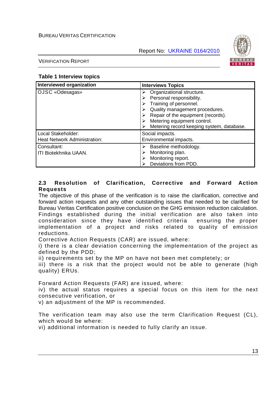

VERIFICATION REPORT

#### **Table 1 Interview topics**

| Interviewed organization            | <b>Interviews Topics</b>                  |  |
|-------------------------------------|-------------------------------------------|--|
| OJSC «Odesagas»                     | Organizational structure.                 |  |
|                                     | Personal responsibility.                  |  |
|                                     | Training of personnel.                    |  |
|                                     | Quality management procedures.            |  |
|                                     | Repair of the equipment (records).        |  |
|                                     | Metering equipment control.               |  |
|                                     | Metering record keeping system, database. |  |
| Local Stakeholder:                  | Social impacts.                           |  |
| <b>Heat Network Administration:</b> | Environmental impacts.                    |  |
| Consultant:                         | Baseline methodology.                     |  |
| ITI Biotekhnika UAAN.               | Monitoring plan.                          |  |
|                                     | Monitoring report.                        |  |
|                                     | Deviations from PDD.                      |  |

#### **2.3 Resolution of Clarification, Corrective and Forward Action Requests**

The objective of this phase of the verification is to raise the clarification, corrective and forward action requests and any other outstanding issues that needed to be clarified for Bureau Veritas Certification positive conclusion on the GHG emission reduction calculation. Findings established during the initial verification are also taken into consideration since they have identified criteria ensuring the proper implementation of a project and risks related to quality of emission reductions.

Corrective Action Requests (CAR) are issued, where:

i) there is a clear deviation concerning the implementation of the project as defined by the PDD;

ii) requirements set by the MP on have not been met completely; or

iii) there is a risk that the project would not be able to generate (high quality) ERUs.

Forward Action Requests (FAR) are issued, where:

iv) the actual status requires a special focus on this item for the next consecutive verification, or

v) an adjustment of the MP is recommended.

The verification team may also use the term Clarification Request (CL), which would be where:

vi) additional information is needed to fully clarify an issue.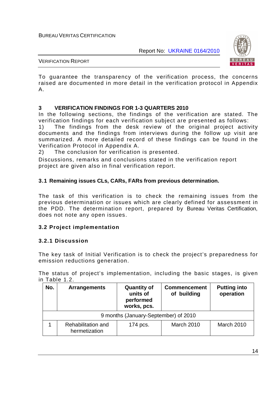

VERIFICATION REPORT

To guarantee the transparency of the verification process, the concerns raised are documented in more detail in the verification protocol in Appendix A.

# **3 VERIFICATION FINDINGS FOR 1-3 QUARTERS 2010**

In the following sections, the findings of the verification are stated. The verification findings for each verification subject are presented as follows:

1) The findings from the desk review of the original project activity documents and the findings from interviews during the follow up visit are summarized. A more detailed record of these findings can be found in the Verification Protocol in Appendix A.

2) The conclusion for verification is presented.

Discussions, remarks and conclusions stated in the verification report project are given also in final verification report.

# **3.1 Remaining issues CLs, CARs, FARs from previous determination.**

The task of this verification is to check the remaining issues from the previous determination or issues which are clearly defined for assessment in the PDD. The determination report, prepared by Bureau Veritas Certification, does not note any open issues.

# **3.2 Project implementation**

# **3.2.1 Discussion**

The key task of Initial Verification is to check the project's preparedness for emission reductions generation.

The status of project's implementation, including the basic stages, is given in Table 1.2.

| No. | <b>Arrangements</b>                  | <b>Quantity of</b><br>units of<br>performed<br>works, pcs. | <b>Commencement</b><br>of building | <b>Putting into</b><br>operation |  |  |  |
|-----|--------------------------------------|------------------------------------------------------------|------------------------------------|----------------------------------|--|--|--|
|     | 9 months (January-September) of 2010 |                                                            |                                    |                                  |  |  |  |
|     | Rehabilitation and<br>hermetization  | 174 pcs.                                                   | <b>March 2010</b>                  | March 2010                       |  |  |  |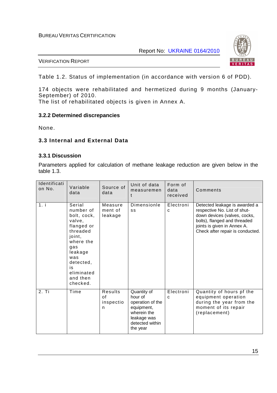

VERIFICATION REPORT

Table 1.2. Status of implementation (in accordance with version 6 of PDD).

174 objects were rehabilitated and hermetized during 9 months (January-September) of 2010.

The list of rehabilitated objects is given in Annex A.

#### **3.2.2 Determined discrepancies**

None.

#### **3.3 Internal and External Data**

#### **3.3.1 Discussion**

Parameters applied for calculation of methane leakage reduction are given below in the table 1.3.

| Identificati<br>on No. | Variable<br>data                                                                                                                                                                | Source of<br>data               | Unit of data<br>measuremen                                                                                            | Form of<br>data<br>received | Comments                                                                                                                                                                                         |
|------------------------|---------------------------------------------------------------------------------------------------------------------------------------------------------------------------------|---------------------------------|-----------------------------------------------------------------------------------------------------------------------|-----------------------------|--------------------------------------------------------------------------------------------------------------------------------------------------------------------------------------------------|
| 1. i                   | Serial<br>number of<br>bolt, cock,<br>valve,<br>flanged or<br>threaded<br>joint,<br>where the<br>gas<br>leakage<br>was<br>detected,<br>is<br>eliminated<br>and then<br>checked. | Measure<br>ment of<br>leakage   | Dimensionle<br>SS                                                                                                     | Electroni<br>C              | Detected leakage is awarded a<br>respective No. List of shut-<br>down devices (valves, cocks,<br>bolts), flanged and threaded<br>joints is given in Annex A.<br>Check after repair is conducted. |
| $2.$ Ti                | Time                                                                                                                                                                            | Results<br>οf<br>inspectio<br>n | Quantity of<br>hour of<br>operation of the<br>equipment,<br>wherein the<br>leakage was<br>detected within<br>the year | Electroni<br>C              | Quantity of hours pf the<br>equipment operation<br>during the year from the<br>moment of its repair<br>(replacement)                                                                             |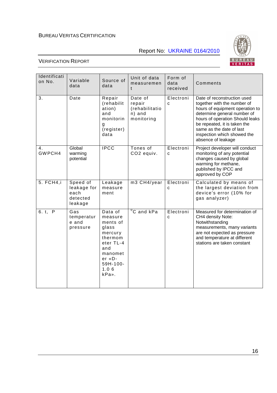Report No: UKRAINE 0164/2010



| Identificati<br>on No. | Variable<br>data                                       | Source of<br>data                                                                                                                   | Unit of data<br>measuremen<br>t                             | Form of<br>data<br>received | Comments                                                                                                                                                                                                                                                                         |
|------------------------|--------------------------------------------------------|-------------------------------------------------------------------------------------------------------------------------------------|-------------------------------------------------------------|-----------------------------|----------------------------------------------------------------------------------------------------------------------------------------------------------------------------------------------------------------------------------------------------------------------------------|
| 3.                     | Date                                                   | Repair<br>(rehabilit<br>ation)<br>and<br>monitorin<br>g<br>(register)<br>data                                                       | Date of<br>repair<br>(rehabilitatio<br>n) and<br>monitoring | Electroni<br>C              | Date of reconstruction used<br>together with the number of<br>hours of equipment operation to<br>determine general number of<br>hours of operation Should leaks<br>be repeated, it is taken the<br>same as the date of last<br>inspection which showed the<br>absence of leakage |
| 4.<br>GWPCH4           | Global<br>warming<br>potential                         | <b>IPCC</b>                                                                                                                         | Tones of<br>CO <sub>2</sub> equiv.                          | Electroni<br>C              | Project developer will conduct<br>monitoring of any potential<br>changes caused by global<br>warming for methane,<br>published by IPCC and<br>approved by COP                                                                                                                    |
| 5. FCH4,i              | Speed of<br>leakage for<br>each<br>detected<br>leakage | Leakage<br>measure<br>ment                                                                                                          | $\overline{m3}$ CH4/year                                    | Electroni<br>C              | Calculated by means of<br>the largest deviation from<br>device's error (10% for<br>gas analyzer)                                                                                                                                                                                 |
| 6. t, P                | Gas<br>temperatur<br>e and<br>pressure                 | Data of<br>measure<br>ments of<br>glass<br>mercury<br>thermom<br>eter TL-4<br>and<br>manomet<br>er «D-<br>59H-100-<br>1.06<br>kPa». | $\overline{{}^0C}$ and kPa                                  | Electroni<br>C              | Measured for determination of<br>CH4 density Note:<br>Notwithstanding<br>measurements, many variants<br>are not expected as pressure<br>and temperature at different<br>stations are taken constant                                                                              |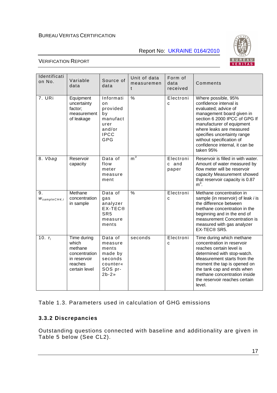Report No: UKRAINE 0164/2010



#### VERIFICATION REPORT

| Identificati<br>on No.  | Variable<br>data                                                                             | Source of<br>data                                                                            | Unit of data<br>measuremen<br>t | Form of<br>data<br>received | Comments                                                                                                                                                                                                                                                                                               |
|-------------------------|----------------------------------------------------------------------------------------------|----------------------------------------------------------------------------------------------|---------------------------------|-----------------------------|--------------------------------------------------------------------------------------------------------------------------------------------------------------------------------------------------------------------------------------------------------------------------------------------------------|
| 7. URi                  | Equipment<br>uncertainty<br>factor;<br>measurement<br>of leakage                             | Informati<br>on<br>provided<br>by<br>manufact<br>urer<br>and/or<br><b>IPCC</b><br><b>GPG</b> | $\frac{1}{2}$                   | Electroni<br>C              | Where possible, 95%<br>confidence interval is<br>evaluated; advice of<br>management board given in<br>section 6 2000 IPCC of GPG If<br>manufacturer of equipment<br>where leaks are measured<br>specifies uncertainty range<br>without specification of<br>confidence internal, it can be<br>taken 95% |
| 8. Vbag                 | Reservoir<br>capacity                                                                        | Data of<br>flow<br>meter<br>measure<br>ment                                                  | m <sup>3</sup>                  | Electroni<br>c and<br>paper | Reservoir is filled in with water.<br>Amount of water measured by<br>flow meter will be reservoir<br>capacity Measurement showed<br>that reservoir capacity is 0.87<br>$m3$ .                                                                                                                          |
| 9.<br>$W_{sampleCH4,i}$ | Methane<br>concentration<br>in sample                                                        | Data of<br>gas<br>analyzer<br>EX-TEC®<br>SR <sub>5</sub><br>measure<br>ments                 | $\%$                            | Electroni<br>C              | Methane concentration in<br>sample (in reservoir) of leak <i>i</i> is<br>the difference between<br>methane concentration in the<br>beginning and in the end of<br>measurement Concentration is<br>measured with gas analyzer<br>EX-TEC® SR5.                                                           |
| 10. $T_i$               | Time during<br>which<br>methane<br>concentration<br>in reservoir<br>reaches<br>certain level | Data of<br>measure<br>ments<br>made by<br>seconds<br>counter«<br>SOS pr-<br>$2b-2*$          | seconds                         | Electroni<br>C              | Time during which methane<br>concentration in reservoir<br>reaches certain level is<br>determined with stop-watch.<br>Measurement starts from the<br>moment the tap is opened on<br>the tank cap and ends when<br>methane concentration inside<br>the reservoir reaches certain<br>level.              |

Table 1.3. Parameters used in calculation of GHG emissions

# **3.3.2 Discrepancies**

Outstanding questions connected with baseline and additionality are given in Table 5 below (See CL2).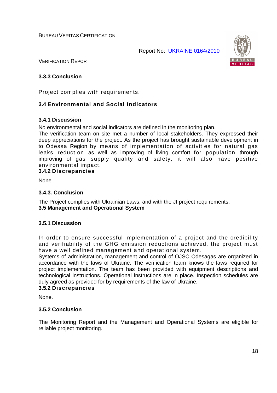

VERIFICATION REPORT

# **3.3.3 Conclusion**

Project complies with requirements.

# **3.4 Environmental and Social Indicators**

# **3.4.1 Discussion**

No environmental and social indicators are defined in the monitoring plan.

The verification team on site met a number of local stakeholders. They expressed their deep appreciations for the project. As the project has brought sustainable development in to Odessa Region by means of implementation of activities for natural gas leaks reduction as well as improving of living comfort for population through improving of gas supply quality and safety, it will also have positive environmental impact.

# **3.4.2 Discrepancies**

None

# **3.4.3. Conclusion**

The Project complies with Ukrainian Laws, and with the JI project requirements. **3.5 Management and Operational System** 

#### **3.5.1 Discussion**

In order to ensure successful implementation of a project and the credibility and verifiability of the GHG emission reductions achieved, the project must have a well defined management and operational system.

Systems of administration, management and control of OJSC Odesagas are organized in accordance with the laws of Ukraine. The verification team knows the laws required for project implementation. The team has been provided with equipment descriptions and technological instructions. Operational instructions are in place. Inspection schedules are duly agreed as provided for by requirements of the law of Ukraine.

#### **3.5.2 Discrepancies**

None.

#### **3.5.2 Conclusion**

The Monitoring Report and the Management and Operational Systems are eligible for reliable project monitoring.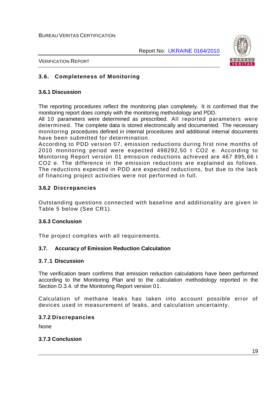

VERIFICATION REPORT

# **3.6. Completeness of Monitoring**

#### **3.6.1 Discussion**

The reporting procedures reflect the monitoring plan completely. It is confirmed that the monitoring report does comply with the monitoring methodology and PDD.

All 10 parameters were determined as prescribed. All reported parameters were determined. The complete data is stored electronically and documented. The necessary monitoring procedures defined in internal procedures and additional internal documents have been submitted for determination.

According to PDD version 07, emission reductions during first nine months of 2010 monitoring period were expected 498292,50 t CO2 e. According to Monitoring Report version 01 emission reductions achieved are 467 895,66 t CO2 e. The difference in the emission reductions are explained as follows. The reductions expected in PDD are expected reductions, but due to the lack of financing project activities were not performed in full.

#### **3.6.2 Discrepancies**

Outstanding questions connected with baseline and additionality are given in Table 5 below (See CR1).

#### **3.6.3 Conclusion**

The project complies with all requirements.

#### **3.7. Accuracy of Emission Reduction Calculation**

#### **3.7.1 Discussion**

The verification team confirms that emission reduction calculations have been performed according to the Monitoring Plan and to the calculation methodology reported in the Section D.3.4. of the Monitoring Report version 01.

Calculation of methane leaks has taken into account possible error of devices used in measurement of leaks, and calculation uncertainty.

#### **3.7.2 Discrepancies**

None

#### **3.7.3 Conclusion**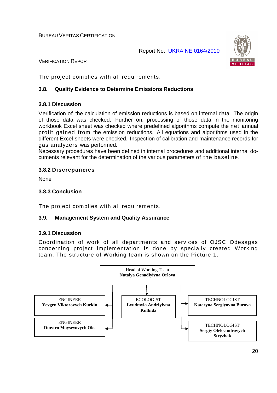

VERIFICATION REPORT

The project complies with all requirements.

# **3.8. Quality Evidence to Determine Emissions Reductions**

#### **3.8.1 Discussion**

Verification of the calculation of emission reductions is based on internal data. The origin of those data was checked. Further on, processing of those data in the monitoring workbook Excel sheet was checked where predefined algorithms compute the net annual profit gained from the emission reductions. All equations and algorithms used in the different Excel-sheets were checked. Inspection of calibration and maintenance records for gas analyzers was performed.

Necessary procedures have been defined in internal procedures and additional internal documents relevant for the determination of the various parameters of the baseline.

#### **3.8.2 Discrepancies**

**None** 

#### **3.8.3 Conclusion**

The project complies with all requirements.

#### **3.9. Management System and Quality Assurance**

#### **3.9.1 Discussion**

Coordination of work of all departments and services of OJSC Odesagas concerning project implementation is done by specially created Working team. The structure of Working team is shown on the Picture 1.

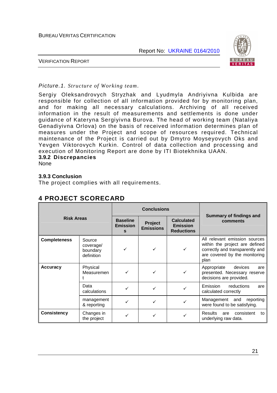

#### VERIFICATION REPORT

Picture.1. *Structure of Working team*.

Sergiy Oleksandrovych Stryzhak and Lyudmyla Andriyivna Kulbida are responsible for collection of all information provided for by monitoring plan, and for making all necessary calculations. Archiving of all received information in the result of measurements and settlements is done under guidance of Kateryna Sergiyivna Burova. The head of working team (Nataliya Genadiyivna Orlova) on the basis of received information determines plan of measures under the Project and scope of resources required. Technical maintenance of the Project is carried out by Dmytro Moyseyovych Oks and Yevgen Viktorovych Kurkin. Control of data collection and processing and execution of Monitoring Report are done by ITI Biotekhnika UAAN. **3.9.2 Discrepancies**

None

#### **3.9.3 Conclusion**

The project complies with all requirements.

|                     |                                               |                                         | <b>Conclusions</b>                 | Summary of findings and                                   |                                                                                                                                             |  |
|---------------------|-----------------------------------------------|-----------------------------------------|------------------------------------|-----------------------------------------------------------|---------------------------------------------------------------------------------------------------------------------------------------------|--|
| <b>Risk Areas</b>   |                                               | <b>Baseline</b><br><b>Emission</b><br>s | <b>Project</b><br><b>Emissions</b> | <b>Calculated</b><br><b>Emission</b><br><b>Reductions</b> | comments                                                                                                                                    |  |
| <b>Completeness</b> | Source<br>coverage/<br>boundary<br>definition |                                         |                                    |                                                           | All relevant emission sources<br>within the project are defined<br>correctly and transparently and<br>are covered by the monitoring<br>plan |  |
| <b>Accuracy</b>     | Physical<br>Measuremen                        |                                         |                                    |                                                           | Appropriate<br>devices<br>are<br>presented. Necessary reserve<br>decisions are provided.                                                    |  |
|                     | Data<br>calculations                          |                                         |                                    |                                                           | Emission<br>reductions<br>are<br>calculated correctly                                                                                       |  |
|                     | management<br>& reporting                     |                                         |                                    |                                                           | Management and<br>reporting<br>were found to be satisfying.                                                                                 |  |
| <b>Consistency</b>  | Changes in<br>the project                     |                                         |                                    |                                                           | <b>Results</b><br>consistent<br>are<br>to<br>underlying raw data.                                                                           |  |

# **4 PROJECT SCORECARD**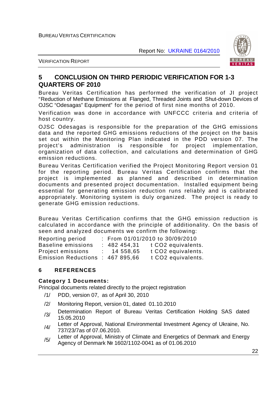

VERIFICATION REPORT

# **5 CONCLUSION ON THIRD PERIODIC VERIFICATION FOR 1-3 QUARTERS OF 2010**

Bureau Veritas Certification has performed the verification of JI project "Reduction of Methane Emissions at Flanged, Threaded Joints and Shut-down Devices of OJSC "Odesagas" Equipment" for the period of first nine months of 2010.

Verification was done in accordance with UNFCCC criteria and criteria of host country.

OJSC Odesagas is responsible for the preparation of the GHG emissions data and the reported GHG emissions reductions of the project on the basis set out within the Monitoring Plan indicated in the PDD version 07. The project's administration is responsible for project implementation, organization of data collection, and calculations and determination of GHG emission reductions.

Bureau Veritas Certification verified the Project Monitoring Report version 01 for the reporting period. Bureau Veritas Certification confirms that the project is implemented as planned and described in determination documents and presented project documentation. Installed equipment being essential for generating emission reduction runs reliably and is calibrated appropriately. Monitoring system is duly organized. The project is ready to generate GHG emission reductions.

Bureau Veritas Certification confirms that the GHG emission reduction is calculated in accordance with the principle of additionality. On the basis of seen and analyzed documents we confirm the following:

| Reporting period                 |             | : From 01/01/2010 to 30/09/2010 |
|----------------------------------|-------------|---------------------------------|
| <b>Baseline emissions</b>        | : 482454,31 | t CO2 equivalents.              |
| Project emissions                | : 14558.65  | t CO2 equivalents.              |
| Emission Reductions : 467 895,66 |             | t CO <sub>2</sub> equivalents.  |

#### **6 REFERENCES**

#### **Category 1 Documents:**

Principal documents related directly to the project registration

- /1/ PDD, version 07, as of April 30, 2010
- /2/ Monitoring Report, version 01, dated 01.10.2010
- /3/ Determination Report of Bureau Veritas Certification Holding SAS dated 15.05.2010
- /4/ Letter of Approval, National Environmental Investment Agency of Ukraine, No. 737/23/7as of 07.06.2010.
- /5/ Letter of Approval, Ministry of Climate and Energetics of Denmark and Energy Agency of Denmark № 1602/1102-0041 as of 01.06.2010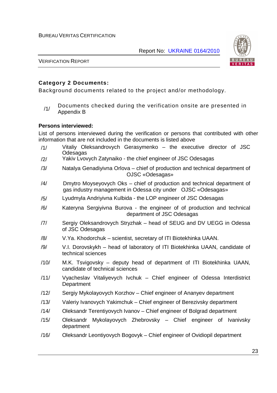

VERIFICATION REPORT

# **Category 2 Documents:**

Background documents related to the project and/or methodology.

/1/ Documents checked during the verification onsite are presented in Appendix B

#### **Persons interviewed:**

List of persons interviewed during the verification or persons that contributed with other information that are not included in the documents is listed above

- /1/ Vitaliy Oleksandrovych Gerasymenko the executive director of JSC **Odesagas**
- /2/ Yakiv Lvovych Zatynaiko the chief engineer of JSC Odesagas
- /3/ Natalya Genadiyivna Orlova chief of production and technical department of OJSC «Odesagas»
- /4/ Dmytro Moyseyovych Oks chief of production and technical department of gas industry management in Odessa city under OJSC «Odesagas»
- /5/ Lyudmyla Andriyivna Kulbida the LOP engineer of JSC Odesagas
- /6/ Kateryna Sergiyivna Burova the engineer of of production and technical department of JSC Odesagas
- /7/ Sergiy Oleksandrovych Stryzhak head of SEUG and DV UEGG in Odessa of JSC Odesagas
- /8/ V.Ya. Khodorchuk scientist, secretary of ITI Biotekhinka UAAN.
- /9/ V.I. Dorovskykh head of laboratory of ITI Biotekhinka UAAN, candidate of technical sciences
- /10/ M.K. Tsvigovsky deputy head of department of ITI Biotekhinka UAAN, candidate of technical sciences
- /11/ Vyacheslav Vitaliyevych Ivchuk Chief engineer of Odessa Interdistrict **Department**
- /12/ Sergiy Mykolayovych Korzhov Chief engineer of Ananyev department
- /13/ Valeriy Ivanovych Yakimchuk Chief engineer of Berezivsky department
- /14/ Oleksandr Terentiyovych Ivanov Chief engineer of Bolgrad department
- /15/ Oleksandr Mykolayovych Zhebrovsky Chief engineer of Ivanivsky department
- /16/ Oleksandr Leontiyovych Bogovyk Chief engineer of Ovidiopil department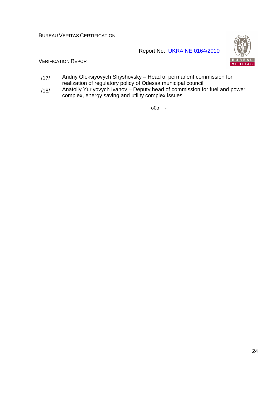

VERIFICATION REPORT

- /17/ Andriy Oleksiyovych Shyshovsky Head of permanent commission for realization of regulatory policy of Odessa municipal council
- $/18/$  Anatoliy Yuriyovych Ivanov Deputy head of commission for fuel and power complex, energy saving and utility complex issues

o0o -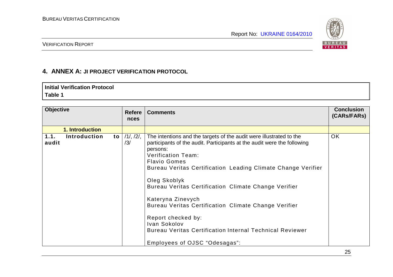

VERIFICATION REPORT

# **4. ANNEX A: JI PROJECT VERIFICATION PROTOCOL**

# **Initial Verification Protocol Table 1**

| <b>Objective</b> |                     |    | <b>Refere</b><br><b>nces</b> | <b>Comments</b>                                                                                                                                                                                                                                                                                                                                                                                                                                                                                                                                                               | <b>Conclusion</b><br>(CARs/FARs) |
|------------------|---------------------|----|------------------------------|-------------------------------------------------------------------------------------------------------------------------------------------------------------------------------------------------------------------------------------------------------------------------------------------------------------------------------------------------------------------------------------------------------------------------------------------------------------------------------------------------------------------------------------------------------------------------------|----------------------------------|
|                  | 1. Introduction     |    |                              |                                                                                                                                                                                                                                                                                                                                                                                                                                                                                                                                                                               |                                  |
| 1.1.<br>audit    | <b>Introduction</b> | to | $/1/$ , $/2/$ ,<br>/3/       | The intentions and the targets of the audit were illustrated to the<br>participants of the audit. Participants at the audit were the following<br>persons:<br><b>Verification Team:</b><br><b>Flavio Gomes</b><br>Bureau Veritas Certification Leading Climate Change Verifier<br>Oleg Skoblyk<br>Bureau Veritas Certification Climate Change Verifier<br>Kateryna Zinevych<br>Bureau Veritas Certification Climate Change Verifier<br>Report checked by:<br>Ivan Sokolov<br><b>Bureau Veritas Certification Internal Technical Reviewer</b><br>Employees of OJSC "Odesagas": | OK                               |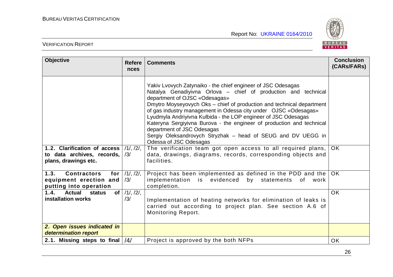

| <b>Objective</b>                                                                              | <b>Refere</b><br><b>nces</b> | <b>Comments</b>                                                                                                                                                                                                                                                                                                                                                                                                                                                                                                                                                                                                                                                                                                               | <b>Conclusion</b><br>(CARs/FARs) |
|-----------------------------------------------------------------------------------------------|------------------------------|-------------------------------------------------------------------------------------------------------------------------------------------------------------------------------------------------------------------------------------------------------------------------------------------------------------------------------------------------------------------------------------------------------------------------------------------------------------------------------------------------------------------------------------------------------------------------------------------------------------------------------------------------------------------------------------------------------------------------------|----------------------------------|
| 1.2. Clarification of access<br>to data archives, records,<br>plans, drawings etc.            | 11, 121,<br>/3/              | Yakiv Lvovych Zatynaiko - the chief engineer of JSC Odesagas<br>Natalya Genadiyivna Orlova - chief of production and technical<br>department of OJSC «Odesagas»<br>Dmytro Moyseyovych Oks – chief of production and technical department<br>of gas industry management in Odessa city under OJSC «Odesagas»<br>Lyudmyla Andriyivna Kulbida - the LOP engineer of JSC Odesagas<br>Kateryna Sergiyivna Burova - the engineer of production and technical<br>department of JSC Odesagas<br>Sergiy Oleksandrovych Stryzhak - head of SEUG and DV UEGG in<br>Odessa of JSC Odesagas<br>The verification team got open access to all required plans,<br>data, drawings, diagrams, records, corresponding objects and<br>facilities. | OK.                              |
| 1.3.<br><b>Contractors</b><br>for $\vert$<br>equipment erection and<br>putting into operation | 11, 121,<br>/3/              | Project has been implemented as defined in the PDD and the<br>implementation is evidenced by statements<br>of work<br>completion.                                                                                                                                                                                                                                                                                                                                                                                                                                                                                                                                                                                             | OK.                              |
| 1.4.<br><b>Actual</b><br>of <sub>l</sub><br>status<br>installation works                      | 11, 121,<br>/3/              | Implementation of heating networks for elimination of leaks is<br>carried out according to project plan. See section A.6 of<br>Monitoring Report.                                                                                                                                                                                                                                                                                                                                                                                                                                                                                                                                                                             | <b>OK</b>                        |
| 2. Open issues indicated in<br>determination report                                           |                              |                                                                                                                                                                                                                                                                                                                                                                                                                                                                                                                                                                                                                                                                                                                               |                                  |
| 2.1. Missing steps to final                                                                   | $\frac{14}{1}$               | Project is approved by the both NFPs                                                                                                                                                                                                                                                                                                                                                                                                                                                                                                                                                                                                                                                                                          | <b>OK</b>                        |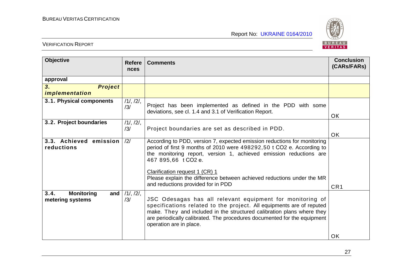

| <b>Objective</b>                                         | <b>Refere</b><br><b>nces</b> | <b>Comments</b>                                                                                                                                                                                                                                                                                                    | <b>Conclusion</b><br>(CARs/FARs) |
|----------------------------------------------------------|------------------------------|--------------------------------------------------------------------------------------------------------------------------------------------------------------------------------------------------------------------------------------------------------------------------------------------------------------------|----------------------------------|
| approval                                                 |                              |                                                                                                                                                                                                                                                                                                                    |                                  |
| 3.<br><b>Project</b><br>implementation                   |                              |                                                                                                                                                                                                                                                                                                                    |                                  |
| 3.1. Physical components                                 | 11, 121,<br>/3/              | Project has been implemented as defined in the PDD with some<br>deviations, see cl. 1.4 and 3.1 of Verification Report.                                                                                                                                                                                            | <b>OK</b>                        |
| 3.2. Project boundaries                                  | 11, 121,<br>/3/              | Project boundaries are set as described in PDD.                                                                                                                                                                                                                                                                    | OK.                              |
| 3.3. Achieved emission<br>reductions                     | /2/                          | According to PDD, version 7, expected emission reductions for monitoring<br>period of first 9 months of 2010 were 498292,50 t CO2 e. According to<br>the monitoring report, version 1, achieved emission reductions are<br>467 895,66 t CO2 e.                                                                     |                                  |
|                                                          |                              | Clarification request 1 (CR) 1<br>Please explain the difference between achieved reductions under the MR<br>and reductions provided for in PDD                                                                                                                                                                     | CR <sub>1</sub>                  |
| 3.4.<br><b>Monitoring</b><br>and $ $<br>metering systems | $/1/$ , $/2/$ ,<br>/3/       | JSC Odesagas has all relevant equipment for monitoring of<br>specifications related to the project. All equipments are of reputed<br>make. They and included in the structured calibration plans where they<br>are periodically calibrated. The procedures documented for the equipment<br>operation are in place. | OK                               |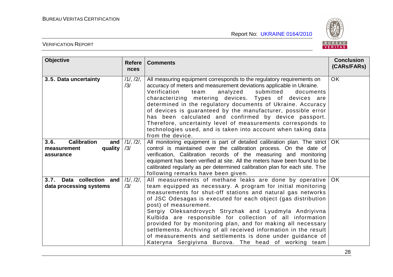

| <b>Objective</b>                                                         | Refere<br><b>nces</b> | <b>Comments</b>                                                                                                                                                                                                                                                                                                                                                                                                                                                                                                                                                                                                                                                   | <b>Conclusion</b><br>(CARs/FARs) |
|--------------------------------------------------------------------------|-----------------------|-------------------------------------------------------------------------------------------------------------------------------------------------------------------------------------------------------------------------------------------------------------------------------------------------------------------------------------------------------------------------------------------------------------------------------------------------------------------------------------------------------------------------------------------------------------------------------------------------------------------------------------------------------------------|----------------------------------|
| 3.5. Data uncertainty                                                    | 11, 121,<br>/3/       | All measuring equipment corresponds to the regulatory requirements on<br>accuracy of meters and measurement deviations applicable in Ukraine.<br>Verification<br>analyzed<br>submitted<br>team<br>documents<br>characterizing metering devices. Types of devices are<br>determined in the regulatory documents of Ukraine. Accuracy<br>of devices is guaranteed by the manufacturer, possible error<br>has been calculated and confirmed by device passport.<br>Therefore, uncertainty level of measurements corresponds to<br>technologies used, and is taken into account when taking data<br>from the device.                                                  | <b>OK</b>                        |
| <b>Calibration</b><br>3.6.<br>and<br>quality<br>measurement<br>assurance | 11, 121,<br>/3/       | All monitoring equipment is part of detailed calibration plan. The strict   OK<br>control is maintained over the calibration process. On the date of<br>verification, Calibration records of the measuring and monitoring<br>equipment has been verified at site. All the meters have been found to be<br>calibrated regularly as per determined calibration plan for each site. The<br>following remarks have been given.                                                                                                                                                                                                                                        |                                  |
| Data collection and<br>3.7.<br>data processing systems                   | 11, 121,<br>/3/       | All measurements of methane leaks are done by operative<br>team equipped as necessary. A program for initial monitoring<br>measurements for shut-off stations and natural gas networks<br>of JSC Odesagas is executed for each object (gas distribution<br>post) of measurement.<br>Sergiy Oleksandrovych Stryzhak and Lyudmyla Andriyivna<br>Kulbida are responsible for collection of all information<br>provided for by monitoring plan, and for making all necessary<br>settlements. Archiving of all received information in the result<br>of measurements and settlements is done under guidance of<br>Kateryna Sergiyivna Burova. The head of working team | <b>OK</b>                        |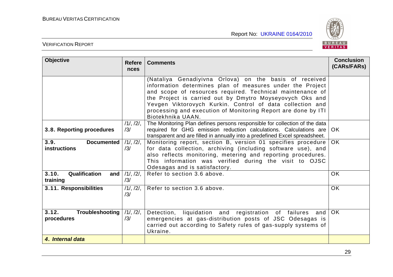

| <b>Objective</b>                                 | <b>Refere</b><br><b>nces</b> | <b>Comments</b>                                                                                                                                                                                                                                                                                                                                                                                 | <b>Conclusion</b><br>(CARs/FARs) |
|--------------------------------------------------|------------------------------|-------------------------------------------------------------------------------------------------------------------------------------------------------------------------------------------------------------------------------------------------------------------------------------------------------------------------------------------------------------------------------------------------|----------------------------------|
|                                                  |                              | (Nataliya Genadiyivna Orlova) on the basis of received<br>information determines plan of measures under the Project<br>and scope of resources required. Technical maintenance of<br>the Project is carried out by Dmytro Moyseyovych Oks and<br>Yevgen Viktorovych Kurkin. Control of data collection and<br>processing and execution of Monitoring Report are done by ITI<br>Biotekhnika UAAN. |                                  |
| 3.8. Reporting procedures                        | 11, 121,<br>/3/              | The Monitoring Plan defines persons responsible for collection of the data<br>required for GHG emission reduction calculations. Calculations are<br>transparent and are filled in annually into a predefined Excel spreadsheet.                                                                                                                                                                 | <b>OK</b>                        |
| 3.9.<br><b>Documented</b><br><b>instructions</b> | 11, 121,<br>/3/              | Monitoring report, section B, version 01 specifies procedure<br>for data collection, archiving (including software use), and<br>also reflects monitoring, metering and reporting procedures.<br>This information was verified during the visit to OJSC<br>Odesagas and is satisfactory.                                                                                                         | OK                               |
| 3.10.<br>Qualification<br>and<br>training        | $/1/$ , $/2/$ ,<br>/3/       | Refer to section 3.6 above.                                                                                                                                                                                                                                                                                                                                                                     | <b>OK</b>                        |
| 3.11. Responsibilities                           | 11, 121,<br>/3/              | Refer to section 3.6 above.                                                                                                                                                                                                                                                                                                                                                                     | <b>OK</b>                        |
| 3.12.<br>Troubleshooting<br>procedures           | 11, 121,<br>/3/              | Detection, liquidation and registration of failures<br>and<br>emergencies at gas-distribution posts of JSC Odesagas is<br>carried out according to Safety rules of gas-supply systems of<br>Ukraine.                                                                                                                                                                                            | OK.                              |
| 4. Internal data                                 |                              |                                                                                                                                                                                                                                                                                                                                                                                                 |                                  |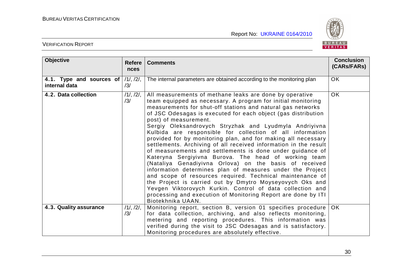

| <b>Objective</b>                          | <b>Refere</b><br><b>nces</b> | <b>Comments</b>                                                                                                                                                                                                                                                                                                                                                                                                                                                                                                                                                                                                                                                                                                                                                                                                                                                                                                                                                                                                                                                      | <b>Conclusion</b><br>(CARs/FARs) |
|-------------------------------------------|------------------------------|----------------------------------------------------------------------------------------------------------------------------------------------------------------------------------------------------------------------------------------------------------------------------------------------------------------------------------------------------------------------------------------------------------------------------------------------------------------------------------------------------------------------------------------------------------------------------------------------------------------------------------------------------------------------------------------------------------------------------------------------------------------------------------------------------------------------------------------------------------------------------------------------------------------------------------------------------------------------------------------------------------------------------------------------------------------------|----------------------------------|
| 4.1. Type and sources of<br>internal data | $/1/$ , $/2/$ ,<br>/3/       | The internal parameters are obtained according to the monitoring plan                                                                                                                                                                                                                                                                                                                                                                                                                                                                                                                                                                                                                                                                                                                                                                                                                                                                                                                                                                                                | OK                               |
| 4.2. Data collection                      | 11, 121,<br>/3/              | All measurements of methane leaks are done by operative<br>team equipped as necessary. A program for initial monitoring<br>measurements for shut-off stations and natural gas networks<br>of JSC Odesagas is executed for each object (gas distribution<br>post) of measurement.<br>Sergiy Oleksandrovych Stryzhak and Lyudmyla Andriyivna<br>Kulbida are responsible for collection of all information<br>provided for by monitoring plan, and for making all necessary<br>settlements. Archiving of all received information in the result<br>of measurements and settlements is done under guidance of<br>Kateryna Sergiyivna Burova. The head of working team<br>(Nataliya Genadiyivna Orlova) on the basis of received<br>information determines plan of measures under the Project<br>and scope of resources required. Technical maintenance of<br>the Project is carried out by Dmytro Moyseyovych Oks and<br>Yevgen Viktorovych Kurkin. Control of data collection and<br>processing and execution of Monitoring Report are done by ITI<br>Biotekhnika UAAN. | <b>OK</b>                        |
| 4.3. Quality assurance                    | 11, 121,<br>/3/              | Monitoring report, section B, version 01 specifies procedure<br>for data collection, archiving, and also reflects monitoring,<br>metering and reporting procedures. This information was<br>verified during the visit to JSC Odesagas and is satisfactory.<br>Monitoring procedures are absolutely effective.                                                                                                                                                                                                                                                                                                                                                                                                                                                                                                                                                                                                                                                                                                                                                        | <b>OK</b>                        |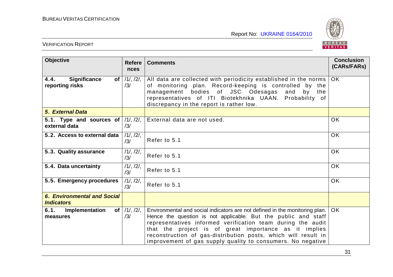

| <b>Objective</b>                                            | <b>Refere</b><br>nces     | <b>Comments</b>                                                                                                                                                                                                                                                                                                                                                                                        | <b>Conclusion</b><br>(CARs/FARs) |
|-------------------------------------------------------------|---------------------------|--------------------------------------------------------------------------------------------------------------------------------------------------------------------------------------------------------------------------------------------------------------------------------------------------------------------------------------------------------------------------------------------------------|----------------------------------|
| 4.4.<br><b>Significance</b><br>reporting risks              | of $/1/$ , $/2/$ ,<br>/3/ | All data are collected with periodicity established in the norms<br>of monitoring plan. Record-keeping is controlled by the<br>management bodies of JSC Odesagas<br>and<br>by the<br>representatives of ITI Biotekhnika UAAN. Probability of<br>discrepancy in the report is rather low.                                                                                                               | OK.                              |
| <b>5. External Data</b>                                     |                           |                                                                                                                                                                                                                                                                                                                                                                                                        |                                  |
| 5.1. Type and sources of $/1/1$ , $/2/1$ ,<br>external data | /3/                       | External data are not used.                                                                                                                                                                                                                                                                                                                                                                            | <b>OK</b>                        |
| 5.2. Access to external data                                | 11, 121,<br>/3/           | Refer to 5.1                                                                                                                                                                                                                                                                                                                                                                                           | OK                               |
| 5.3. Quality assurance                                      | 11, 121,<br>/3/           | Refer to 5.1                                                                                                                                                                                                                                                                                                                                                                                           | <b>OK</b>                        |
| 5.4. Data uncertainty                                       | 11, 121,<br>/3/           | Refer to 5.1                                                                                                                                                                                                                                                                                                                                                                                           | OK                               |
| 5.5. Emergency procedures                                   | 11, 121,<br>/3/           | Refer to 5.1                                                                                                                                                                                                                                                                                                                                                                                           | <b>OK</b>                        |
| <b>6. Environmental and Social</b><br><b>Indicators</b>     |                           |                                                                                                                                                                                                                                                                                                                                                                                                        |                                  |
| 6.1.<br>Implementation<br>measures                          | of $/1/$ , $/2/$ ,<br>/3/ | Environmental and social indicators are not defined in the monitoring plan.<br>Hence the question is not applicable. But the public and staff<br>representatives informed verification team during the audit<br>that the project is of great importance as it implies<br>reconstruction of gas-distribution posts, which will result in<br>improvement of gas supply quality to consumers. No negative | <b>OK</b>                        |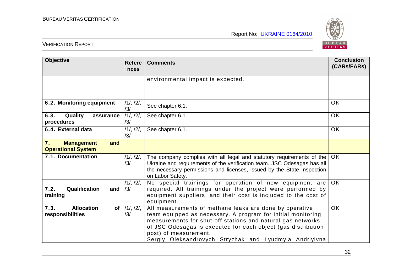

| <b>Objective</b>                                                          | <b>Refere</b><br>nces | <b>Comments</b>                                                                                                                                                                                                                                                                                                                            | <b>Conclusion</b><br>(CARs/FARs) |
|---------------------------------------------------------------------------|-----------------------|--------------------------------------------------------------------------------------------------------------------------------------------------------------------------------------------------------------------------------------------------------------------------------------------------------------------------------------------|----------------------------------|
|                                                                           |                       | environmental impact is expected.                                                                                                                                                                                                                                                                                                          |                                  |
| 6.2. Monitoring equipment                                                 | 11, 121,<br>/3/       | See chapter 6.1.                                                                                                                                                                                                                                                                                                                           | <b>OK</b>                        |
| 6.3.<br>Quality<br>assurance<br>procedures                                | 11, 121,<br>/3/       | See chapter 6.1.                                                                                                                                                                                                                                                                                                                           | <b>OK</b>                        |
| 6.4. External data                                                        | 11, 121,<br>/3/       | See chapter 6.1.                                                                                                                                                                                                                                                                                                                           | <b>OK</b>                        |
| $\overline{7}$ .<br><b>Management</b><br>and<br><b>Operational System</b> |                       |                                                                                                                                                                                                                                                                                                                                            |                                  |
| 7.1. Documentation                                                        | 11, 121,<br>/3/       | The company complies with all legal and statutory requirements of the<br>Ukraine and requirements of the verification team. JSC Odesagas has all<br>the necessary permissions and licenses, issued by the State Inspection<br>on Labor Safety.                                                                                             | OK.                              |
| 7.2.<br>Qualification<br>and<br>training                                  | 11, 121,<br>/3/       | No special trainings for operation of new equipment are<br>required. All trainings under the project were performed by<br>equipment suppliers, and their cost is included to the cost of<br>equipment.                                                                                                                                     | OK.                              |
| <b>Allocation</b><br>7.3.<br>of<br>responsibilities                       | 11, 121,<br>/3/       | All measurements of methane leaks are done by operative<br>team equipped as necessary. A program for initial monitoring<br>measurements for shut-off stations and natural gas networks<br>of JSC Odesagas is executed for each object (gas distribution<br>post) of measurement.<br>Sergiy Oleksandrovych Stryzhak and Lyudmyla Andriyivna | <b>OK</b>                        |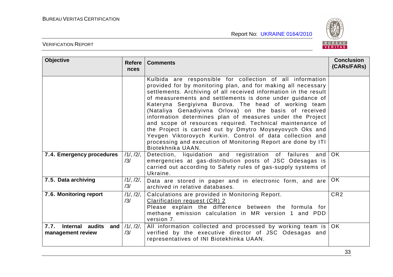

| <b>Objective</b>                                                 | <b>Refere</b><br><b>nces</b> | <b>Comments</b>                                                                                                                                                                                                                                                                                                                                                                                                                                                                                                                                                                                                                                                                                                        | <b>Conclusion</b><br>(CARs/FARs) |
|------------------------------------------------------------------|------------------------------|------------------------------------------------------------------------------------------------------------------------------------------------------------------------------------------------------------------------------------------------------------------------------------------------------------------------------------------------------------------------------------------------------------------------------------------------------------------------------------------------------------------------------------------------------------------------------------------------------------------------------------------------------------------------------------------------------------------------|----------------------------------|
|                                                                  |                              | Kulbida are responsible for collection of all information<br>provided for by monitoring plan, and for making all necessary<br>settlements. Archiving of all received information in the result<br>of measurements and settlements is done under guidance of<br>Kateryna Sergiyivna Burova. The head of working team<br>(Nataliya Genadiyivna Orlova) on the basis of received<br>information determines plan of measures under the Project<br>and scope of resources required. Technical maintenance of<br>the Project is carried out by Dmytro Moyseyovych Oks and<br>Yevgen Viktorovych Kurkin. Control of data collection and<br>processing and execution of Monitoring Report are done by ITI<br>Biotekhnika UAAN. |                                  |
| 7.4. Emergency procedures                                        | 11, 121,<br>/3/              | Detection, liquidation and registration of failures and<br>emergencies at gas-distribution posts of JSC Odesagas is<br>carried out according to Safety rules of gas-supply systems of<br>Ukraine.                                                                                                                                                                                                                                                                                                                                                                                                                                                                                                                      | OK.                              |
| 7.5. Data archiving                                              | 11, 121,<br>/3/              | Data are stored in paper and in electronic form, and are<br>archived in relative databases.                                                                                                                                                                                                                                                                                                                                                                                                                                                                                                                                                                                                                            | OK                               |
| 7.6. Monitoring report                                           | $/1/$ , $/2/$ ,<br>/3/       | Calculations are provided in Monitoring Report.<br>Clarification request (CR) 2<br>Please explain the difference between the formula for<br>methane emission calculation in MR version 1 and PDD<br>version 7.                                                                                                                                                                                                                                                                                                                                                                                                                                                                                                         | CR <sub>2</sub>                  |
| Internal audits and $/1/$ , $/2/$ ,<br>7.7.<br>management review | /3/                          | All information collected and processed by working team is<br>verified by the executive director of JSC Odesagas and<br>representatives of INI Biotekhinka UAAN.                                                                                                                                                                                                                                                                                                                                                                                                                                                                                                                                                       | OK                               |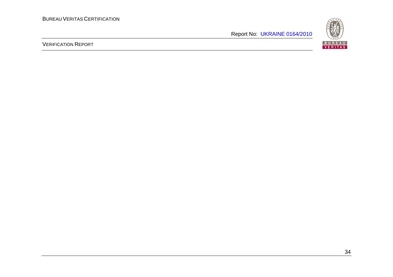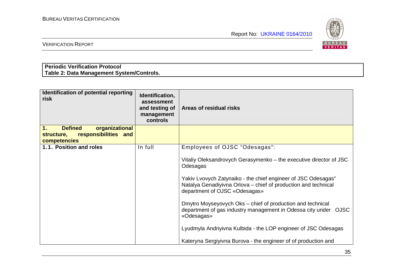

VERIFICATION REPORT

**Periodic Verification Protocol Table 2: Data Management System/Controls.** 

| Identification of potential reporting<br>risk | Identification,<br>assessment<br>and testing of<br>management<br>controls | Areas of residual risks                                                                                                                                          |
|-----------------------------------------------|---------------------------------------------------------------------------|------------------------------------------------------------------------------------------------------------------------------------------------------------------|
| <b>Defined</b><br>organizational<br>1.        |                                                                           |                                                                                                                                                                  |
| responsibilities and<br>structure,            |                                                                           |                                                                                                                                                                  |
| competencies                                  |                                                                           |                                                                                                                                                                  |
| 1.1. Position and roles                       | In full                                                                   | Employees of OJSC "Odesagas":                                                                                                                                    |
|                                               |                                                                           | Vitaliy Oleksandrovych Gerasymenko - the executive director of JSC<br>Odesagas                                                                                   |
|                                               |                                                                           | Yakiv Lvovych Zatynaiko - the chief engineer of JSC Odesagas"<br>Natalya Genadiyivna Orlova - chief of production and technical<br>department of OJSC «Odesagas» |
|                                               |                                                                           | Dmytro Moyseyovych Oks – chief of production and technical<br>department of gas industry management in Odessa city under OJSC<br>«Odesagas»                      |
|                                               |                                                                           | Lyudmyla Andriyivna Kulbida - the LOP engineer of JSC Odesagas                                                                                                   |
|                                               |                                                                           | Kateryna Sergiyivna Burova - the engineer of of production and                                                                                                   |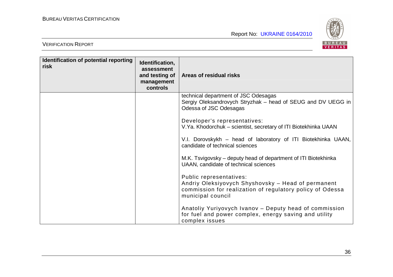

| Identification of potential reporting<br>risk | Identification,<br>assessment<br>and testing of<br>management<br>controls | Areas of residual risks                                                                                                                                         |
|-----------------------------------------------|---------------------------------------------------------------------------|-----------------------------------------------------------------------------------------------------------------------------------------------------------------|
|                                               |                                                                           | technical department of JSC Odesagas<br>Sergiy Oleksandrovych Stryzhak - head of SEUG and DV UEGG in<br>Odessa of JSC Odesagas                                  |
|                                               |                                                                           | Developer's representatives:<br>V. Ya. Khodorchuk - scientist, secretary of ITI Biotekhinka UAAN                                                                |
|                                               |                                                                           | V.I. Dorovskykh – head of laboratory of ITI Biotekhinka UAAN,<br>candidate of technical sciences                                                                |
|                                               |                                                                           | M.K. Tsvigovsky – deputy head of department of ITI Biotekhinka<br>UAAN, candidate of technical sciences                                                         |
|                                               |                                                                           | Public representatives:<br>Andriy Oleksiyovych Shyshovsky - Head of permanent<br>commission for realization of regulatory policy of Odessa<br>municipal council |
|                                               |                                                                           | Anatoliy Yuriyovych Ivanov - Deputy head of commission<br>for fuel and power complex, energy saving and utility<br>complex issues                               |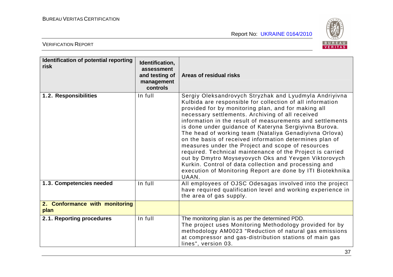

| Identification of potential reporting<br><b>risk</b> | Identification,<br>assessment<br>and testing of<br>management<br>controls | Areas of residual risks                                                                                                                                                                                                                                                                                                                                                                                                                                                                                                                                                                                                                                                                                                                                                             |  |
|------------------------------------------------------|---------------------------------------------------------------------------|-------------------------------------------------------------------------------------------------------------------------------------------------------------------------------------------------------------------------------------------------------------------------------------------------------------------------------------------------------------------------------------------------------------------------------------------------------------------------------------------------------------------------------------------------------------------------------------------------------------------------------------------------------------------------------------------------------------------------------------------------------------------------------------|--|
| 1.2. Responsibilities                                | In full                                                                   | Sergiy Oleksandrovych Stryzhak and Lyudmyla Andriyivna<br>Kulbida are responsible for collection of all information<br>provided for by monitoring plan, and for making all<br>necessary settlements. Archiving of all received<br>information in the result of measurements and settlements<br>is done under guidance of Kateryna Sergiyivna Burova.<br>The head of working team (Nataliya Genadiyivna Orlova)<br>on the basis of received information determines plan of<br>measures under the Project and scope of resources<br>required. Technical maintenance of the Project is carried<br>out by Dmytro Moyseyovych Oks and Yevgen Viktorovych<br>Kurkin. Control of data collection and processing and<br>execution of Monitoring Report are done by ITI Biotekhnika<br>UAAN. |  |
| 1.3. Competencies needed                             | In full                                                                   | All employees of OJSC Odesagas involved into the project<br>have required qualification level and working experience in<br>the area of gas supply.                                                                                                                                                                                                                                                                                                                                                                                                                                                                                                                                                                                                                                  |  |
| 2. Conformance with monitoring<br>plan               |                                                                           |                                                                                                                                                                                                                                                                                                                                                                                                                                                                                                                                                                                                                                                                                                                                                                                     |  |
| 2.1. Reporting procedures                            | In full                                                                   | The monitoring plan is as per the determined PDD.<br>The project uses Monitoring Methodology provided for by<br>methodology AM0023 "Reduction of natural gas emissions<br>at compressor and gas-distribution stations of main gas<br>lines", version 03.                                                                                                                                                                                                                                                                                                                                                                                                                                                                                                                            |  |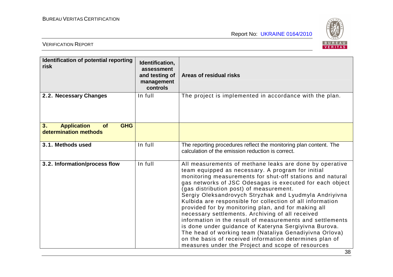

| Identification of potential reporting<br>risk                         | Identification,<br>assessment<br>and testing of<br>management<br>controls | <b>Areas of residual risks</b>                                                                                                                                                                                                                                                                                                                                                                                                                                                                                                                                                                                                                                                                                                                                                                                     |
|-----------------------------------------------------------------------|---------------------------------------------------------------------------|--------------------------------------------------------------------------------------------------------------------------------------------------------------------------------------------------------------------------------------------------------------------------------------------------------------------------------------------------------------------------------------------------------------------------------------------------------------------------------------------------------------------------------------------------------------------------------------------------------------------------------------------------------------------------------------------------------------------------------------------------------------------------------------------------------------------|
| 2.2. Necessary Changes                                                | In full                                                                   | The project is implemented in accordance with the plan.                                                                                                                                                                                                                                                                                                                                                                                                                                                                                                                                                                                                                                                                                                                                                            |
| <b>GHG</b><br>3.<br><b>Application</b><br>of<br>determination methods |                                                                           |                                                                                                                                                                                                                                                                                                                                                                                                                                                                                                                                                                                                                                                                                                                                                                                                                    |
| 3.1. Methods used                                                     | In full                                                                   | The reporting procedures reflect the monitoring plan content. The<br>calculation of the emission reduction is correct.                                                                                                                                                                                                                                                                                                                                                                                                                                                                                                                                                                                                                                                                                             |
| 3.2. Information/process flow                                         | In full                                                                   | All measurements of methane leaks are done by operative<br>team equipped as necessary. A program for initial<br>monitoring measurements for shut-off stations and natural<br>gas networks of JSC Odesagas is executed for each object<br>(gas distribution post) of measurement.<br>Sergiy Oleksandrovych Stryzhak and Lyudmyla Andriyivna<br>Kulbida are responsible for collection of all information<br>provided for by monitoring plan, and for making all<br>necessary settlements. Archiving of all received<br>information in the result of measurements and settlements<br>is done under guidance of Kateryna Sergiyivna Burova.<br>The head of working team (Nataliya Genadiyivna Orlova)<br>on the basis of received information determines plan of<br>measures under the Project and scope of resources |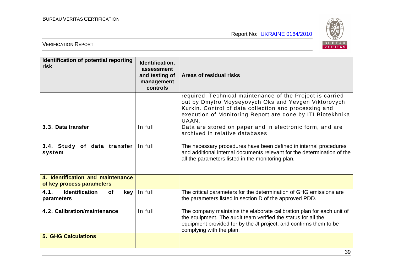

| Identification of potential reporting<br>risk                   | Identification,<br>assessment<br>and testing of<br>management<br>controls | Areas of residual risks                                                                                                                                                                                                                           |
|-----------------------------------------------------------------|---------------------------------------------------------------------------|---------------------------------------------------------------------------------------------------------------------------------------------------------------------------------------------------------------------------------------------------|
|                                                                 |                                                                           | required. Technical maintenance of the Project is carried<br>out by Dmytro Moyseyovych Oks and Yevgen Viktorovych<br>Kurkin. Control of data collection and processing and<br>execution of Monitoring Report are done by ITI Biotekhnika<br>UAAN. |
| 3.3. Data transfer                                              | In full                                                                   | Data are stored on paper and in electronic form, and are<br>archived in relative databases                                                                                                                                                        |
| 3.4. Study of data transfer<br>system                           | In full                                                                   | The necessary procedures have been defined in internal procedures<br>and additional internal documents relevant for the determination of the<br>all the parameters listed in the monitoring plan.                                                 |
| 4. Identification and maintenance<br>of key process parameters  |                                                                           |                                                                                                                                                                                                                                                   |
| <b>Identification</b><br>4.1.<br><b>of</b><br>key<br>parameters | In full                                                                   | The critical parameters for the determination of GHG emissions are<br>the parameters listed in section D of the approved PDD.                                                                                                                     |
| 4.2. Calibration/maintenance                                    | In full                                                                   | The company maintains the elaborate calibration plan for each unit of<br>the equipment. The audit team verified the status for all the<br>equipment provided for by the JI project, and confirms them to be<br>complying with the plan.           |
| <b>5. GHG Calculations</b>                                      |                                                                           |                                                                                                                                                                                                                                                   |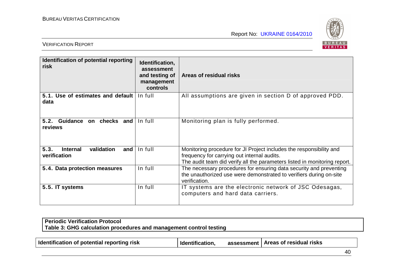

| Identification of potential reporting<br>risk                | Identification,<br>assessment<br>and testing of<br>management<br>controls | Areas of residual risks                                                                                                                                                                         |
|--------------------------------------------------------------|---------------------------------------------------------------------------|-------------------------------------------------------------------------------------------------------------------------------------------------------------------------------------------------|
| 5.1. Use of estimates and default<br>data                    | In full                                                                   | All assumptions are given in section D of approved PDD.                                                                                                                                         |
| 5.2.<br>Guidance on checks and<br>reviews                    | In full                                                                   | Monitoring plan is fully performed.                                                                                                                                                             |
| 5.3.<br><b>Internal</b><br>validation<br>and<br>verification | In full                                                                   | Monitoring procedure for JI Project includes the responsibility and<br>frequency for carrying out internal audits.<br>The audit team did verify all the parameters listed in monitoring report. |
| 5.4. Data protection measures                                | In full                                                                   | The necessary procedures for ensuring data security and preventing<br>the unauthorized use were demonstrated to verifiers during on-site<br>verification.                                       |
| 5.5. IT systems                                              | In full                                                                   | IT systems are the electronic network of JSC Odesagas,<br>computers and hard data carriers.                                                                                                     |

| Periodic Verification Protocol                                     |  |
|--------------------------------------------------------------------|--|
| Table 3: GHG calculation procedures and management control testing |  |

| Identification of potential reporting risk<br>assessment $ $ Areas of residual risks<br>dentification. |
|--------------------------------------------------------------------------------------------------------|
|--------------------------------------------------------------------------------------------------------|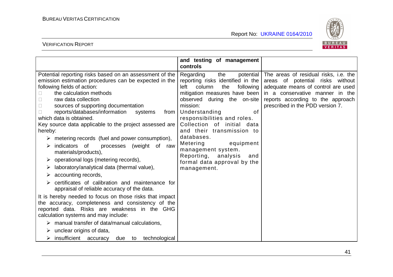

|                                                                                                                                                                                                                                                                                                                                                                                                                                                                                                                                                                                                                                                                                                                                                                                                                                                                                                                                                                                                                                                                                                                                                                                                              | and testing of management<br>controls                                                                                                                                                                                                                                                                                                                                                                                                             |                                                                                                                                                                                                                             |
|--------------------------------------------------------------------------------------------------------------------------------------------------------------------------------------------------------------------------------------------------------------------------------------------------------------------------------------------------------------------------------------------------------------------------------------------------------------------------------------------------------------------------------------------------------------------------------------------------------------------------------------------------------------------------------------------------------------------------------------------------------------------------------------------------------------------------------------------------------------------------------------------------------------------------------------------------------------------------------------------------------------------------------------------------------------------------------------------------------------------------------------------------------------------------------------------------------------|---------------------------------------------------------------------------------------------------------------------------------------------------------------------------------------------------------------------------------------------------------------------------------------------------------------------------------------------------------------------------------------------------------------------------------------------------|-----------------------------------------------------------------------------------------------------------------------------------------------------------------------------------------------------------------------------|
| Potential reporting risks based on an assessment of the<br>emission estimation procedures can be expected in the<br>following fields of action:<br>the calculation methods<br>raw data collection<br>sources of supporting documentation<br>reports/databases/information<br>systems<br>from  <br>which data is obtained.<br>Key source data applicable to the project assessed are<br>hereby:<br>$\triangleright$ metering records (fuel and power consumption),<br>indicators of<br>processes (weight of<br>raw<br>➤<br>materials/products),<br>$\triangleright$ operational logs (metering records),<br>laboratory/analytical data (thermal value),<br>$\triangleright$ accounting records,<br>$\triangleright$ certificates of calibration and maintenance for<br>appraisal of reliable accuracy of the data.<br>It is hereby needed to focus on those risks that impact<br>the accuracy, completeness and consistency of the<br>reported data. Risks are weakness in the GHG<br>calculation systems and may include:<br>$\triangleright$ manual transfer of data/manual calculations,<br>$\triangleright$ unclear origins of data,<br>$\triangleright$ insufficient accuracy<br>to technological<br>due | Regarding<br>the<br>potential<br>reporting risks identified in the<br>left<br>column<br>the<br>following<br>mitigation measures have been<br>observed during the on-site<br>mission:<br>Understanding<br>of<br>responsibilities and roles.<br>Collection of initial data<br>and their transmission to<br>databases.<br>Metering<br>equipment<br>management system.<br>Reporting,<br>analysis<br>and<br>formal data approval by the<br>management. | The areas of residual risks, i.e. the<br>areas of potential risks without<br>adequate means of control are used<br>in a conservative manner in the<br>reports according to the approach<br>prescribed in the PDD version 7. |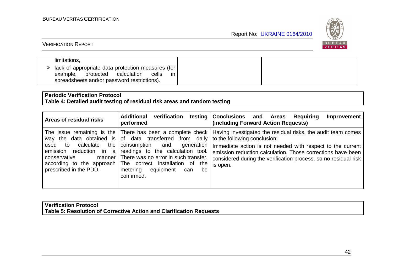

# VERIFICATION REPORT

| limitations,                                                                                                                                    |  |
|-------------------------------------------------------------------------------------------------------------------------------------------------|--|
| lack of appropriate data protection measures (for<br>example, protected calculation cells<br>-in<br>spreadsheets and/or password restrictions). |  |

#### **Periodic Verification Protocol Table 4: Detailed audit testing of residual risk areas and random testing**

| Areas of residual risks                                                                          | <b>Additional</b><br>verification<br>performed                                                                                                                                                                                                                                                                                     | testing   Conclusions and Areas<br>Improvement<br>Requiring<br>(including Forward Action Requests)                                                                                                                                                                                                                                  |
|--------------------------------------------------------------------------------------------------|------------------------------------------------------------------------------------------------------------------------------------------------------------------------------------------------------------------------------------------------------------------------------------------------------------------------------------|-------------------------------------------------------------------------------------------------------------------------------------------------------------------------------------------------------------------------------------------------------------------------------------------------------------------------------------|
| the<br>calculate<br>used to<br>emission reduction in a<br>conservative<br>prescribed in the PDD. | way the data obtained is $ $ of data transferred from daily $ $ to the following conclusion:<br>  consumption and generation  <br>readings to the calculation tool.<br>manner   There was no error in such transfer.<br>according to the approach The correct installation of the<br>metering equipment<br>be<br>can<br>confirmed. | The issue remaining is the There has been a complete check Having investigated the residual risks, the audit team comes<br>Immediate action is not needed with respect to the current<br>emission reduction calculation. Those corrections have been<br>considered during the verification process, so no residual risk<br>is open. |

**Verification Protocol Table 5: Resolution of Corrective Action and Clarification Requests**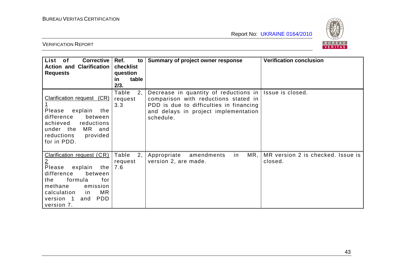

| <b>Corrective</b><br>List of<br><b>Action and Clarification</b><br><b>Requests</b>                                                                                                                                                   | Ref.<br>to<br>checklist<br>question       | Summary of project owner response                                                                                                                                             | <b>Verification conclusion</b>               |
|--------------------------------------------------------------------------------------------------------------------------------------------------------------------------------------------------------------------------------------|-------------------------------------------|-------------------------------------------------------------------------------------------------------------------------------------------------------------------------------|----------------------------------------------|
|                                                                                                                                                                                                                                      | table<br>in<br>2/3.                       |                                                                                                                                                                               |                                              |
| Clarification request (CR)<br>explain<br>Please<br>the<br>difference<br>between<br>achieved<br>reductions<br>under the<br>MR and<br>reductions<br>provided<br>for in PDD.                                                            | 2 <sub>1</sub><br>Table<br>request<br>3.3 | Decrease in quantity of reductions in<br>comparison with reductions stated in<br>PDD is due to difficulties in financing<br>and delays in project implementation<br>schedule. | Issue is closed.                             |
| Clarification request (CR)<br>$\overline{2}$<br>Please<br>explain<br>the<br>difference<br>between<br>for<br>the<br>formula<br>methane<br>emission<br><b>MR</b><br>calculation<br>in.<br><b>PDD</b><br>version 1<br>and<br>version 7. | 2,<br>Table<br>request<br>7.6             | MR,<br>amendments<br>Appropriate<br>in<br>version 2, are made.                                                                                                                | MR version 2 is checked. Issue is<br>closed. |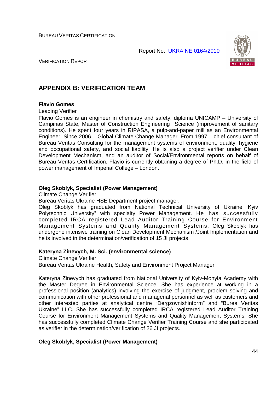

VERIFICATION REPORT

# **APPENDIX B: VERIFICATION TEAM**

#### **Flavio Gomes**

Leading Verifier

Flavio Gomes is an engineer in chemistry and safety, diploma UNICAMP – University of Campinas State, Master of Construction Engineering Science (improvement of sanitary conditions). He spent four years in RIPASA, a pulp-and-paper mill as an Environmental Engineer. Since 2006 – Global Climate Change Manager. From 1997 – chief consultant of Bureau Veritas Consulting for the management systems of environment, quality, hygiene and occupational safety, and social liability. He is also a project verifier under Clean Development Mechanism, and an auditor of Social/Environmental reports on behalf of Bureau Veritas Certification. Flavio is currently obtaining a degree of Ph.D. in the field of power management of Imperial College – London.

#### **Oleg Skoblyk, Specialist (Power Management)**

Climate Change Verifier

Bureau Veritas Ukraine HSE Department project manager.

Oleg Skoblyk has graduated from National Technical University of Ukraine 'Kyiv Polytechnic University" with specialty Power Management. He has successfully completed IRCA registered Lead Auditor Training Course for Environment Management Systems and Quality Management Systems. Oleg Skoblyk has undergone intensive training on Clean Development Mechanism /Joint Implementation and he is involved in the determination/verification of 15 JI projects.

#### **Kateryna Zinevych, M. Sci. (environmental science)**

Climate Change Verifier Bureau Veritas Ukraine Health, Safety and Environment Project Manager

Kateryna Zinevych has graduated from National University of Kyiv-Mohyla Academy with the Master Degree in Environmental Science. She has experience at working in a professional position (analytics) involving the exercise of judgment, problem solving and communication with other professional and managerial personnel as well as customers and other interested parties at analytical centre "Dergzovnishinform" and "Burea Veritas Ukraine" LLC. She has successfully completed IRCA registered Lead Auditor Training Course for Environment Management Systems and Quality Management Systems. She has successfully completed Climate Change Verifier Training Course and she participated as verifier in the determination/verification of 26 JI projects.

#### **Oleg Skoblyk, Specialist (Power Management)**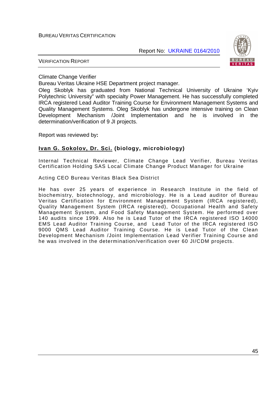

#### VERIFICATION REPORT

#### Climate Change Verifier

Bureau Veritas Ukraine HSE Department project manager.

Oleg Skoblyk has graduated from National Technical University of Ukraine 'Kyiv Polytechnic University" with specialty Power Management. He has successfully completed IRCA registered Lead Auditor Training Course for Environment Management Systems and Quality Management Systems. Oleg Skoblyk has undergone intensive training on Clean Development Mechanism /Joint Implementation and he is involved in the determination/verification of 9 JI projects.

Report was reviewed by**:** 

#### **Ivan G. Sokolov, Dr. Sci. (biology, microbiology)**

Internal Technical Reviewer, Climate Change Lead Verifier, Bureau Veritas Certification Holding SAS Local Climate Change Product Manager for Ukraine

#### Acting CEO Bureau Veritas Black Sea District

He has over 25 years of experience in Research Institute in the field of biochemistry, biotechnology, and microbiology. He is a Lead auditor of Bureau Veritas Certification for Environment Management System (IRCA registered), Quality Management System (IRCA registered), Occupational Health and Safety Management System, and Food Safety Management System. He performed over 140 audits since 1999. Also he is Lead Tutor of the IRCA registered ISO 14000 EMS Lead Auditor Training Course, and Lead Tutor of the IRCA registered ISO 9000 QMS Lead Auditor Training Course. He is Lead Tutor of the Clean Development Mechanism /Joint Implementation Lead Verifier Training Course and he was involved in the determination/verification over 60 JI/CDM projects.